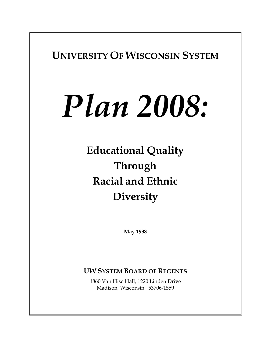**UNIVERSITY OF WISCONSIN SYSTEM**

# *Plan 2008:*

**Educational Quality Through Racial and Ethnic Diversity**

**May 1998** 

# **UW SYSTEM BOARD OF REGENTS**

1860 Van Hise Hall, 1220 Linden Drive Madison, Wisconsin 53706-1559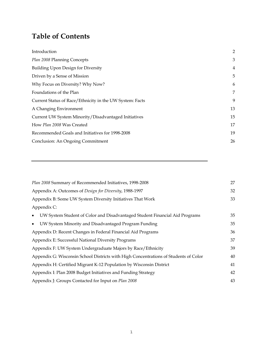# **Table of Contents**

| Introduction                                             | 2  |
|----------------------------------------------------------|----|
| Plan 2008 Planning Concepts                              | 3  |
| Building Upon Design for Diversity                       | 4  |
| Driven by a Sense of Mission                             | 5  |
| Why Focus on Diversity? Why Now?                         | 6  |
| Foundations of the Plan                                  | 7  |
| Current Status of Race/Ethnicity in the UW System: Facts | 9  |
| A Changing Environment                                   | 13 |
| Current UW System Minority/Disadvantaged Initiatives     | 15 |
| How Plan 2008 Was Created                                | 17 |
| Recommended Goals and Initiatives for 1998-2008          | 19 |
| Conclusion: An Ongoing Commitment                        | 26 |
|                                                          |    |

| Plan 2008 Summary of Recommended Initiatives, 1998-2008                                  | 27 |
|------------------------------------------------------------------------------------------|----|
| Appendix A: Outcomes of Design for Diversity, 1988-1997                                  | 32 |
| Appendix B: Some UW System Diversity Initiatives That Work                               | 33 |
| Appendix C:                                                                              |    |
| UW System Student of Color and Disadvantaged Student Financial Aid Programs<br>$\bullet$ | 35 |
| UW System Minority and Disadvantaged Program Funding<br>$\bullet$                        | 35 |
| Appendix D: Recent Changes in Federal Financial Aid Programs                             | 36 |
| Appendix E: Successful National Diversity Programs                                       | 37 |
| Appendix F: UW System Undergraduate Majors by Race/Ethnicity                             | 39 |
| Appendix G: Wisconsin School Districts with High Concentrations of Students of Color     | 40 |
| Appendix H: Certified Migrant K-12 Population by Wisconsin District                      | 41 |
| Appendix I: Plan 2008 Budget Initiatives and Funding Strategy                            | 42 |
| Appendix J: Groups Contacted for Input on Plan 2008                                      | 43 |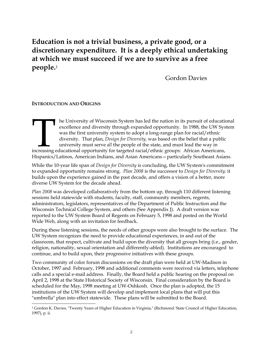# **Education is not a trivial business, a private good, or a discretionary expenditure. It is a deeply ethical undertaking at which we must succeed if we are to survive as a free people.**[1](#page-2-0)

Gordon Davies

## **INTRODUCTION AND ORIGINS**

he University of Wisconsin System has led the nation in its pursuit of educational excellence and diversity through expanded opportunity. In 1988, the UW System was the first university system to adopt a long-range plan for racial/ethnic diversity. That plan, *Design for Diversity,* was based on the belief that a public university must serve *all* the people of the state, and must lead the way in Increasing the University of Wisconsin System has led the nation in its pursuit of educational excellence and diversity through expanded opportunity. In 1988, the UW Sys was the first university system to adopt a long-rang H ispanics/Latinos, American Indians, and Asian Americans—particularly Southeast Asians.

While the 10-year life span of *Design for Diversity* is concluding, the UW System's commitment to expanded opportunity remains strong. *Plan 2008* is the successor to *Design for Diversity;* it builds upon the experience gained in the past decade, and offers a vision of a better, more diverse UW System for the decade ahead.

*Plan 2008* was developed collaboratively from the bottom up, through 110 different listening sessions held statewide with students, faculty, staff, community members, regents, administrators, legislators, representatives of the Department of Public Instruction and the Wisconsin Technical College System, and others (See Appendix J). A draft version was reported to the UW System Board of Regents on February 5, 1998 and posted on the World Wide Web, along with an invitation for feedback.

During these listening sessions, the needs of other groups were also brought to the surface. The UW System recognizes the need to provide educational experiences, in and out of the classroom, that respect, cultivate and build upon the diversity that all groups bring (i.e., gender, religion, nationality, sexual orientation and differently-abled). Institutions are encouraged to continue, and to build upon, their progressive initiatives with these groups.

Two community of color forum discussions on the draft plan were held at UW-Madison in October, 1997 and February, 1998 and additional comments were received via letters, telephone calls and a special e-mail address. Finally, the Board held a public hearing on the proposal on April 2, 1998 at the State Historical Society of Wisconsin. Final consideration by the Board is scheduled for the May, 1998 meeting at UW-Oshkosh. Once the plan is adopted, the 15 institutions of the UW System will develop and implement local plans that will put this "umbrella" plan into effect statewide. These plans will be submitted to the Board.

<span id="page-2-0"></span>i<br>L 1 Gordon K. Davies, "Twenty Years of Higher Education in Virginia," (Richmond: State Council of Higher Education, 1997), p. ii.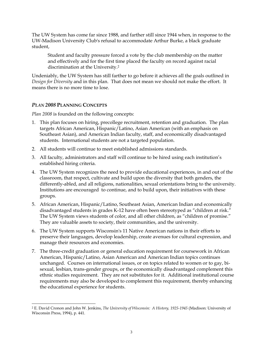The UW System has come far since 1988, and farther still since 1944 when, in response to the UW-Madison University Club's refusal to accommodate Arthur Burke, a black graduate student,

Student and faculty pressure forced a vote by the club membership on the matter and effectively and for the first time placed the faculty on record against racial discrimination at the University.[2](#page-3-0)

Undeniably, the UW System has still farther to go before it achieves all the goals outlined in *Design for Diversity* and in this plan. That does not mean we should not make the effort. It means there is no more time to lose.

## *PLAN 2008* **PLANNING CONCEPTS**

*Plan 2008* is founded on the following concepts:

- 1. This plan focuses on hiring, precollege recruitment, retention and graduation. The plan targets African American, Hispanic/Latino, Asian American (with an emphasis on Southeast Asian), and American Indian faculty, staff, and economically disadvantaged students. International students are not a targeted population.
- 2. All students will continue to meet established admissions standards.
- 3. All faculty, administrators and staff will continue to be hired using each institution's established hiring criteria.
- 4. The UW System recognizes the need to provide educational experiences, in and out of the classroom, that respect, cultivate and build upon the diversity that both genders, the differently-abled, and all religions, nationalities, sexual orientations bring to the university. Institutions are encouraged to continue, and to build upon, their initiatives with these groups.
- 5. African American, Hispanic/Latino, Southeast Asian, American Indian and economically disadvantaged students in grades K-12 have often been stereotyped as "children at risk." The UW System views students of color, and all other children, as "children of promise." They are valuable assets to society, their communities, and the university.
- 6. The UW System supports Wisconsin's 11 Native American nations in their efforts to preserve their languages, develop leadership, create avenues for cultural expression, and manage their resources and economies.
- 7. The three-credit graduation or general education requirement for coursework in African American, Hispanic/Latino, Asian American and American Indian topics continues unchanged. Courses on international issues, or on topics related to women or to gay, bisexual, lesbian, trans-gender groups, or the economically disadvantaged complement this ethnic studies requirement. They are not substitutes for it. Additional institutional course requirements may also be developed to complement this requirement, thereby enhancing the educational experience for students.

<span id="page-3-0"></span>i<br>L 2 E. David Cronon and John W. Jenkins, *The University of Wisconsin: A History, 1925-1945* (Madison: University of Wisconsin Press, 1994), p. 441.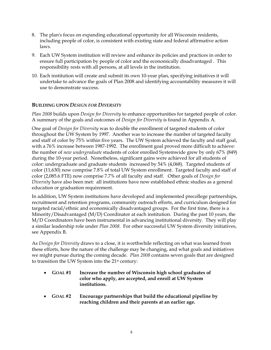- 8. The plan's focus on expanding educational opportunity for all Wisconsin residents, including people of color, is consistent with existing state and federal affirmative action laws.
- 9. Each UW System institution will review and enhance its policies and practices in order to ensure full participation by people of color and the economically disadvantaged . This responsibility rests with all persons, at all levels in the institution.
- 10. Each institution will create and submit its own 10-year plan, specifying initiatives it will undertake to advance the goals of Plan 2008 and identifying accountability measures it will use to demonstrate success.

## **BUILDING UPON** *DESIGN FOR DIVERSITY*

*Plan 2008* builds upon *Design for Diversity* to enhance opportunities for targeted people of color. A summary of the goals and outcomes of *Design for Diversity* is found in Appendix A.

One goal of *Design for Diversity* was to double the enrollment of targeted students of color throughout the UW System by 1997. Another was to increase the number of targeted faculty and staff of color by 75% within five years. The UW System achieved the faculty and staff goal, with a 76% increase between 1987-1992. The enrollment goal proved more difficult to achieve: the number of *new undergraduate* students of color enrolled Systemwide grew by only 67% (849) during the 10-year period. Nonetheless, significant gains were achieved for all students of color: undergraduate and graduate students increased by 54% (4,068). Targeted students of color (11,630) now comprise 7.8% of total UW System enrollment. Targeted faculty and staff of color (2,085.6 FTE) now comprise 7.7% of all faculty and staff. Other goals of *Design for Diversity* have also been met: all institutions have now established ethnic studies as a general education or graduation requirement.

In addition, UW System institutions have developed and implemented precollege partnerships, recruitment and retention programs, community outreach efforts, and curriculum designed for targeted racial/ethnic and economically disadvantaged groups. For the first time, there is a Minority/Disadvantaged (M/D) Coordinator at each institution. During the past 10 years, the M/D Coordinators have been instrumental in advancing institutional diversity*.* They will play a similar leadership role under *Plan 2008*. For other successful UW System diversity initiatives, see Appendix B.

As *Design for Diversity* draws to a close, it is worthwhile reflecting on what was learned from these efforts, how the nature of the challenge may be changing, and what goals and initiatives we might pursue during the coming decade. *Plan 2008* contains seven goals that are designed to transition the UW System into the 21st century:

- **GOAL #1 Increase the number of Wisconsin high school graduates of color who apply, are accepted, and enroll at UW System institutions.**
- **GOAL #2 Encourage partnerships that build the educational pipeline by reaching children and their parents at an earlier age.**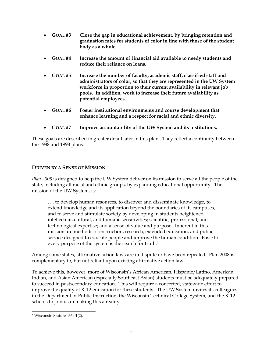- **GOAL #3 Close the gap in educational achievement, by bringing retention and graduation rates for students of color in line with those of the student body as a whole.**
- **GOAL #4 Increase the amount of financial aid available to needy students and reduce their reliance on loans.**
- **GOAL #5 Increase the number of faculty, academic staff, classified staff and administrators of color, so that they are represented in the UW System workforce in proportion to their current availability in relevant job pools. In addition, work to increase their future availability as potential employees.**
- **GOAL #6 Foster institutional environments and course development that enhance learning and a respect for racial and ethnic diversity.**
- **GOAL #7 Improve accountability of the UW System and its institutions.**

These goals are described in greater detail later in this plan. They reflect a continuity between the 1988 and 1998 plans.

## **DRIVEN BY A SENSE OF MISSION**

*Plan 2008* is designed to help the UW System deliver on its mission to serve all the people of the state, including all racial and ethnic groups, by expanding educational opportunity. The mission of the UW System, is:

. . . to develop human resources, to discover and disseminate knowledge, to extend knowledge and its application beyond the boundaries of its campuses, and to serve and stimulate society by developing in students heightened intellectual, cultural, and humane sensitivities; scientific, professional, and technological expertise; and a sense of value and purpose. Inherent in this mission are methods of instruction, research, extended education, and public service designed to educate people and improve the human condition. Basic to every purpose of the system is the search for truth.[3](#page-5-0)

Among some states, affirmative action laws are in dispute or have been repealed. Plan 2008 is complementary to, but not reliant upon existing affirmative action law.

To achieve this, however, more of Wisconsin's African American, Hispanic/Latino, American Indian, and Asian American (especially Southeast Asian) students must be adequately prepared to succeed in postsecondary education. This will require a concerted, statewide effort to improve the quality of K-12 education for these students. The UW System invites its colleagues in the Department of Public Instruction, the Wisconsin Technical College System, and the K-12 schools to join us in making this a reality.

<span id="page-5-0"></span>i<br>L 3 Wisconsin Statutes 36.01(2).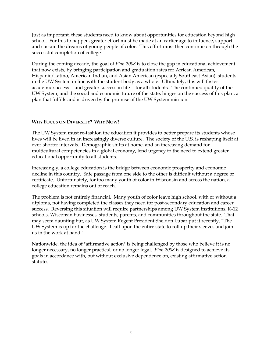Just as important, these students need to know about opportunities for education beyond high school. For this to happen, greater effort must be made at an earlier age to influence, support and sustain the dreams of young people of color. This effort must then continue on through the successful completion of college.

During the coming decade, the goal of *Plan 2008* is to close the gap in educational achievement that now exists, by bringing participation and graduation rates for African American, Hispanic/Latino, American Indian, and Asian American (especially Southeast Asian) students in the UW System in line with the student body as a whole. Ultimately, this will foster academic success -- and greater success in life -- for all students. The continued quality of the UW System, and the social and economic future of the state, hinges on the success of this plan; a plan that fulfills and is driven by the promise of the UW System mission.

## **WHY FOCUS ON DIVERSITY? WHY NOW?**

The UW System must re-fashion the education it provides to better prepare its students whose lives will be lived in an increasingly diverse culture. The society of the U.S. is reshaping itself at ever-shorter intervals. Demographic shifts at home, and an increasing demand for multicultural competencies in a global economy, lend urgency to the need to extend greater educational opportunity to all students.

Increasingly, a college education is the bridge between economic prosperity and economic decline in this country. Safe passage from one side to the other is difficult without a degree or certificate. Unfortunately, for too many youth of color in Wisconsin and across the nation, a college education remains out of reach.

The problem is not entirely financial. Many youth of color leave high school, with or without a diploma, not having completed the classes they need for post-secondary education and career success. Reversing this situation will require partnerships among UW System institutions, K-12 schools, Wisconsin businesses, students, parents, and communities throughout the state. That may seem daunting but, as UW System Regent President Sheldon Lubar put it recently, "The UW System is up for the challenge. I call upon the entire state to roll up their sleeves and join us in the work at hand."

Nationwide, the idea of "affirmative action" is being challenged by those who believe it is no longer necessary, no longer practical, or no longer legal. *Plan 2008* is designed to achieve its goals in accordance with, but without exclusive dependence on, existing affirmative action statutes.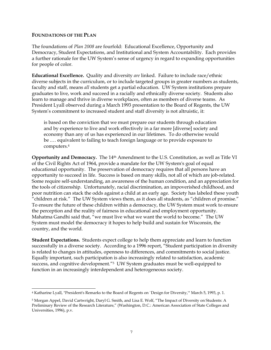### **FOUNDATIONS OF THE PLAN**

i<br>L

The foundations of *Plan 2008* are fourfold: Educational Excellence, Opportunity and Democracy, Student Expectations, and Institutional and System Accountability. Each provides a further rationale for the UW System's sense of urgency in regard to expanding opportunities for people of color.

**Educational Excellence.** Quality and diversity *are* linked. Failure to include race/ethnic diverse subjects in the curriculum, or to include targeted groups in greater numbers as students, faculty and staff, means *all* students get a partial education. UW System institutions prepare graduates to live, work and succeed in a racially and ethnically diverse society. Students also learn to manage and thrive in diverse workplaces, often as members of diverse teams. As President Lyall observed during a March 1993 presentation to the Board of Regents, the UW System's commitment to increased student and staff diversity is not altruistic, it:

is based on the conviction that we must prepare our students through education and by experience to live and work effectively in a far more [diverse] society and economy than any of us has experienced in our lifetimes. To do otherwise would be .… equivalent to failing to teach foreign language or to provide exposure to computers[.4](#page-7-0)

**Opportunity and Democracy.** The 14th Amendment to the U.S. Constitution, as well as Title VI of the Civil Rights Act of 1964, provide a mandate for the UW System's goal of equal educational opportunity. The preservation of democracy requires that all persons have an opportunity to succeed in life. Success is based on many skills, not all of which are job-related. Some require self-understanding, an awareness of the human condition, and an appreciation for the tools of citizenship. Unfortunately, racial discrimination, an impoverished childhood, and poor nutrition can stack the odds against a child at an early age. Society has labeled these youth "children at risk." The UW System views them, as it does all students, as "children of promise." To ensure the future of these children within a democracy, the UW System must work to ensure the perception and the reality of fairness in educational and employment opportunity. Mahatma Gandhi said that, "we must live what we want the world to become." The UW System must model the democracy it hopes to help build and sustain for Wisconsin, the country, and the world.

**Student Expectations.** Students expect college to help them appreciate and learn to function successfully in a diverse society. According to a 1996 report, "Student participation in diversity is related to changes in attitudes, openness to differences, and commitments to social justice. Equally important, such participation is also increasingly related to satisfaction, academic success, and cognitive development."[5](#page-7-1) UW System graduates must be well-equipped to function in an increasingly interdependent and heterogeneous society.

<span id="page-7-0"></span><sup>4</sup> Katharine Lyall, "President's Remarks to the Board of Regents on `Design for Diversity,'" March 5, 1993, p. 1.

<span id="page-7-1"></span><sup>5</sup> Morgan Appel, David Cartwright, Daryl G. Smith, and Lisa E. Wolf, "The Impact of Diversity on Students: A Preliminary Review of the Research Literature," (Washington, D.C.: American Association of State Colleges and Universities, 1996), p.v.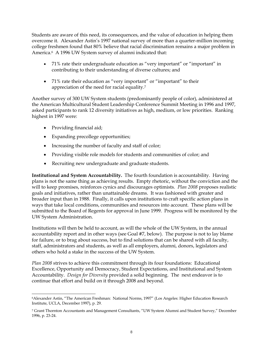Students are aware of this need, its consequences, and the value of education in helping them overcome it. Alexander Astin's 1997 national survey of more than a quarter-million incoming college freshmen found that 80% believe that racial discrimination remains a major problem in America[.6](#page-8-0) A 1996 UW System survey of alumni indicated that:

- 71% rate their undergraduate education as "very important" or "important" in contributing to their understanding of diverse cultures; and
- 71% rate their education as "very important" or "important" to their appreciation of the need for racial equality[.7](#page-8-1)

Another survey of 300 UW System students (predominantly people of color), administered at the American Multicultural Student Leadership Conference Summit Meeting in 1996 and 1997, asked participants to rank 12 diversity initiatives as high, medium, or low priorities. Ranking highest in 1997 were:

- Providing financial aid;
- Expanding precollege opportunities;
- Increasing the number of faculty and staff of color;
- Providing visible role models for students and communities of color; and
- Recruiting new undergraduate and graduate students.

**Institutional and System Accountability.** The fourth foundation is accountability. Having plans is not the same thing as achieving results. Empty rhetoric, without the conviction and the will to keep promises, reinforces cynics and discourages optimists*. Plan 2008* proposes realistic goals and initiatives, rather than unattainable dreams. It was fashioned with greater and broader input than in 1988. Finally, it calls upon institutions to craft specific action plans in ways that take local conditions, communities and resources into account. These plans will be submitted to the Board of Regents for approval in June 1999. Progress will be monitored by the UW System Administration.

Institutions will then be held to account, as will the whole of the UW System, in the annual accountability report and in other ways (see Goal #7, below). The purpose is not to lay blame for failure, or to brag about success, but to find solutions that can be shared with all faculty, staff, administrators and students, as well as all employers, alumni, donors, legislators and others who hold a stake in the success of the UW System.

*Plan 2008* strives to achieve this commitment through its four foundations: Educational Excellence, Opportunity and Democracy, Student Expectations, and Institutional and System Accountability. *Design for Diversity* provided a solid beginning. The next endeavor is to continue that effort and build on it through 2008 and beyond.

<span id="page-8-0"></span>i<br>L 6Alexander Astin, "The American Freshman: National Norms, 1997" (Los Angeles: Higher Education Research Institute, UCLA, December 1997), p. 29.

<span id="page-8-1"></span><sup>7</sup> Grant Thornton Accountants and Management Consultants, "UW System Alumni and Student Survey," December 1996, p. 23-24.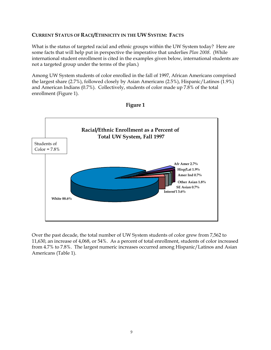## **CURRENT STATUS OF RACE/ETHNICITY IN THE UW SYSTEM: FACTS**

What is the status of targeted racial and ethnic groups within the UW System today? Here are some facts that will help put in perspective the imperative that underlies *Plan 2008*. (While international student enrollment is cited in the examples given below, international students are not a targeted group under the terms of the plan.)

Among UW System students of color enrolled in the fall of 1997, African Americans comprised the largest share (2.7%), followed closely by Asian Americans (2.5%), Hispanic/Latinos (1.9%) and American Indians (0.7%). Collectively, students of color made up 7.8% of the total enrollment (Figure 1).





Over the past decade, the total number of UW System students of color grew from 7,562 to 11,630, an increase of 4,068, or 54%. As a percent of total enrollment, students of color increased from 4.7% to 7.8%. The largest numeric increases occurred among Hispanic/Latinos and Asian Americans (Table 1).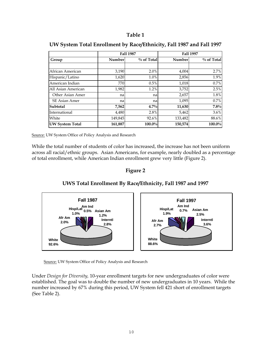## **Table 1**

|                        |               | <b>Fall 1987</b> |         | <b>Fall 1997</b> |
|------------------------|---------------|------------------|---------|------------------|
| Group                  | <b>Number</b> | $%$ of Total     | Number  | % of Total       |
|                        |               |                  |         |                  |
| African American       | 3,190         | 2.0%             | 4,004   | 2.7%             |
| Hispanic/Latino        | 1,620         | 1.0%             | 2,856   | 1.9%             |
| American Indian        | 770           | 0.5%             | 1,018   | 0.7%             |
| All Asian American     | 1,982         | 1.2%             | 3,752   | 2.5%             |
| Other Asian Amer       | nal           | na               | 2,657   | 1.8%             |
| <b>SE Asian Amer</b>   | nal           | na               | 1,095   | 0.7%             |
| Subtotal               | 7,562         | $4.7\%$          | 11,630  | 7.8%             |
| International          | 4,480         | 2.8%             | 5,462   | $3.6\%$          |
| White                  | 149,845       | 92.6%            | 133,482 | 88.6%            |
| <b>UW System Total</b> | 161,887       | 100.0%           | 150,574 | 100.0%           |

## **UW System Total Enrollment by Race/Ethnicity, Fall 1987 and Fall 1997**

Source: UW System Office of Policy Analysis and Research

While the total number of students of color has increased, the increase has not been uniform across all racial/ethnic groups. Asian Americans, for example, nearly doubled as a percentage of total enrollment, while American Indian enrollment grew very little (Figure 2).

## **Figure 2**

## **UWS Total Enrollment By Race/Ethnicity, Fall 1987 and 1997**



Source: UW System Office of Policy Analysis and Research

Under *Design for Diversity,* 10-year enrollment targets for new undergraduates of color were established. The goal was to double the number of new undergraduates in 10 years. While the number increased by 67% during this period, UW System fell 421 short of enrollment targets (See Table 2).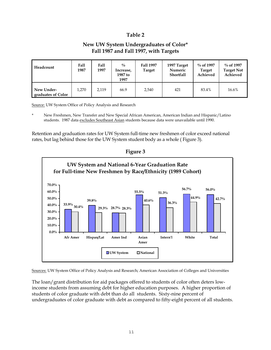## **Table 2**

## **New UW System Undergraduates of Color\* Fall 1987 and Fall 1997, with Targets**

| Headcount                        | <b>Fall</b><br>1987 | <b>Fall</b><br>1997 | $^{0}/_{0}$<br>Increase,<br>1987 to<br>1997 | <b>Fall 1997</b><br><b>Target</b> | 1997 Target<br>Numeric<br><b>Shortfall</b> | $\%$ of 1997<br><b>Target</b><br>Achieved | $\%$ of 1997<br><b>Target Not</b><br>Achieved |
|----------------------------------|---------------------|---------------------|---------------------------------------------|-----------------------------------|--------------------------------------------|-------------------------------------------|-----------------------------------------------|
| New Under-<br>graduates of Color | 1.270               | 2.119               | 66.9                                        | 2,540                             | 421                                        | 83.4%                                     | 16.6%                                         |

Source: UW System Office of Policy Analysis and Research

New Freshmen, New Transfer and New Special African American, American Indian and Hispanic/Latino students. 1987 data excludes Southeast Asian students because data were unavailable until 1990.

Retention and graduation rates for UW System full-time new freshmen of color exceed national rates, but lag behind those for the UW System student body as a whole ( Figure 3).





Sources: UW System Office of Policy Analysis and Research; American Association of Colleges and Universities

The loan/grant distribution for aid packages offered to students of color often deters lowincome students from assuming debt for higher education purposes. A higher proportion of students of color graduate with debt than do all students. Sixty-nine percent of undergraduates of color graduate with debt as compared to fifty-eight percent of all students.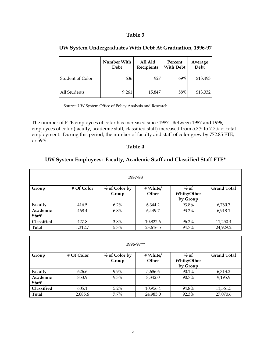## **Table 3**

|                         | Number With<br>Debt | All Aid<br><b>Recipients</b> | Percent<br><b>With Debt</b> | Average<br><b>Debt</b> |
|-------------------------|---------------------|------------------------------|-----------------------------|------------------------|
| <b>Student of Color</b> | 636                 | 927                          | 69%                         | \$13,493               |
| All Students            | 9,261               | 15,847                       | 58%                         | \$13,332               |

## **UW System Undergraduates With Debt At Graduation, 1996-97**

Source: UW System Office of Policy Analysis and Research

The number of FTE employees of color has increased since 1987. Between 1987 and 1996, employees of color (faculty, academic staff, classified staff) increased from 5.3% to 7.7% of total employment. During this period, the number of faculty and staff of color grew by 772.85 FTE, or 59%.

## **Table 4**

## **UW System Employees: Faculty, Academic Staff and Classified Staff FTE\***

| 1987-88                  |            |                           |                   |                                           |                    |
|--------------------------|------------|---------------------------|-------------------|-------------------------------------------|--------------------|
| Group                    | # Of Color | $\%$ of Color by<br>Group | # White/<br>Other | $\%$ of<br><b>White/Other</b><br>by Group | <b>Grand Total</b> |
| Faculty                  | 416.5      | $6.2\%$                   | 6,344.2           | 93.8%                                     | 6,760.7            |
| Academic<br><b>Staff</b> | 468.4      | $6.8\%$                   | 6,449.7           | 93.2%                                     | 6,918.1            |
| Classified               | 427.8      | 3.8%                      | 10,822.6          | 96.2%                                     | 11,250.4           |
| <b>Total</b>             | 1,312.7    | 5.3%                      | 23,616.5          | 94.7%                                     | 24,929.2           |

| 1996-97**         |            |                           |                          |                               |                    |  |
|-------------------|------------|---------------------------|--------------------------|-------------------------------|--------------------|--|
| Group             | # Of Color | $\%$ of Color by<br>Group | # White/<br><b>Other</b> | $\%$ of<br><b>White/Other</b> | <b>Grand Total</b> |  |
|                   |            |                           |                          | by Group                      |                    |  |
| Faculty           | 626.6      | 9.9%                      | 5,686.6                  | 90.1%                         | 6,313.2            |  |
| Academic          | 853.9      | 9.3%                      | 8.342.0                  | 90.7%                         | 9,195.9            |  |
| <b>Staff</b>      |            |                           |                          |                               |                    |  |
| <b>Classified</b> | 605.1      | $5.2\%$                   | 10,956.4                 | 94.8%                         | 11,561.5           |  |
| <b>Total</b>      | 2,085.6    | 7.7%                      | 24,985.0                 | 92.3%                         | 27,070.6           |  |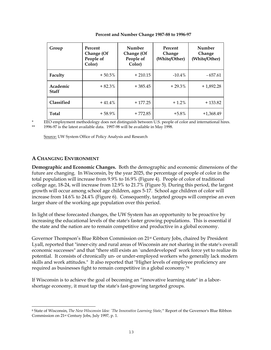| Group                    | Percent<br>Change (Of<br>People of<br>Color) | Number<br>Change (Of<br>People of<br>Color) | Percent<br>Change<br>(White/Other) | Number<br>Change<br>(White/Other) |
|--------------------------|----------------------------------------------|---------------------------------------------|------------------------------------|-----------------------------------|
| Faculty                  | $+50.5%$                                     | $+210.15$                                   | $-10.4\%$                          | - 657.61                          |
| Academic<br><b>Staff</b> | $+82.3%$                                     | $+385.45$                                   | $+29.3%$                           | $+1,892.28$                       |
| <b>Classified</b>        | $+41.4%$                                     | $+177.25$                                   | $+1.2%$                            | $+133.82$                         |
| Total                    | $+58.9%$                                     | $+772.85$                                   | $+5.8%$                            | $+1,368.49$                       |

**Percent and Number Change 1987-88 to 1996-97** 

EEO employment methodology does not distinguish between U.S. people of color and international hires.

\*\* 1996-97 is the latest available data. 1997-98 will be available in May 1998.

Source: UW System Office of Policy Analysis and Research

## **A CHANGING ENVIRONMENT**

**Demographic and Economic Changes.** Both the demographic and economic dimensions of the future are changing. In Wisconsin, by the year 2025, the percentage of people of color in the total population will increase from 9.9% to 16.9% (Figure 4). People of color of traditional college age, 18-24, will increase from 12.9% to 21.7% (Figure 5). During this period, the largest growth will occur among school age children, ages 5-17. School age children of color will increase from 14.6% to 24.4% (Figure 6). Consequently, targeted groups will comprise an even larger share of the working age population over this period.

In light of these forecasted changes, the UW System has an opportunity to be proactive by increasing the educational levels of the state's faster growing populations. This is essential if the state and the nation are to remain competitive and productive in a global economy.

Governor Thompson's Blue Ribbon Commission on 21st Century Jobs, chaired by President Lyall, reported that "inner-city and rural areas of Wisconsin are not sharing in the state's overall economic successes" and that "there still exists an `underdeveloped' work force yet to realize its potential. It consists of chronically un- or under-employed workers who generally lack modern skills and work attitudes." It also reported that "Higher levels of employee proficiency are required as businesses fight to remain competitive in a global economy.["8](#page-13-0)

If Wisconsin is to achieve the goal of becoming an "innovative learning state" in a laborshortage economy, it must tap the state's fast-growing targeted groups.

<span id="page-13-0"></span>i<br>L 8 State of Wisconsin, *The New Wisconsin Idea: `The Innovative Learning State*,'" Report of the Governor's Blue Ribbon Commission on 21st Century Jobs, July 1997, p. 1.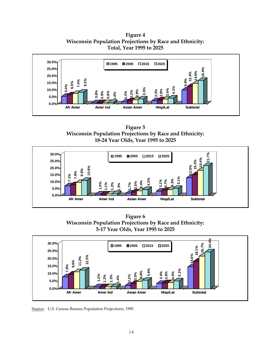**Figure 4 Wisconsin Population Projections by Race and Ethnicity: Total, Year 1995 to 2025** 



**Figure 5 Wisconsin Population Projections by Race and Ethnicity: 18-24 Year Olds, Year 1995 to 2025**



**Figure 6 Wisconsin Population Projections by Race and Ethnicity: 5-17 Year Olds, Year 1995 to 2025**



Source: U.S. Census Bureau Population Projections, 1995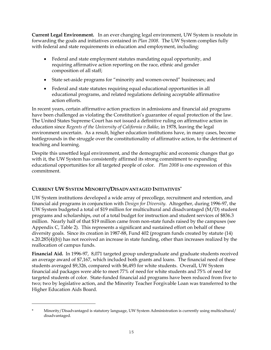**Current Legal Environment.** In an ever changing legal environment, UW System is resolute in forwarding the goals and initiatives contained in *Plan 2008*. The UW System complies fully with federal and state requirements in education and employment, including:

- Federal and state employment statutes mandating equal opportunity, and requiring affirmative action reporting on the race, ethnic and gender composition of all staff;
- State set-aside programs for "minority and women-owned" businesses; and
- Federal and state statutes requiring equal educational opportunities in all educational programs, and related regulations defining acceptable affirmative action efforts.

In recent years, certain affirmative action practices in admissions and financial aid programs have been challenged as violating the Constitution's guarantee of equal protection of the law. The United States Supreme Court has not issued a definitive ruling on affirmative action in education since *Regents of the University of California v.Bakke*, in 1978, leaving the legal environment uncertain. As a result, higher education institutions have, in many cases, become battlegrounds in the struggle over the constitutionality of affirmative action, to the detriment of teaching and learning.

Despite this unsettled legal environment, and the demographic and economic changes that go with it, the UW System has consistently affirmed its strong commitment to expanding educational opportunities for all targeted people of color. *Plan 2008* is one expression of this commitment.

## **CURRENT UW SYSTEM MINORITY/DISADVANTAGED INITIATIVES[\\*](#page-15-0)**

i<br>L

UW System institutions developed a wide array of precollege, recruitment and retention, and financial aid programs in conjunction with *Design for Diversity*. Altogether, during 1996-97, the UW System budgeted a total of \$19 million for multicultural and disadvantaged (M/D) student programs and scholarships, out of a total budget for instruction and student services of \$836.3 million. Nearly half of that \$19 million came from non-state funds raised by the campuses (see Appendix C, Table 2). This represents a significant and sustained effort on behalf of these diversity goals. Since its creation in 1987-88, Fund 402 (program funds created by statute (14) s.20.285(4)(b)) has not received an increase in state funding, other than increases realized by the reallocation of campus funds.

**Financial Aid.** In 1996-97, 8,071 targeted group undergraduate and graduate students received an average award of \$7,167, which included both grants and loans. The financial need of these students averaged \$9,326, compared with \$6,493 for white students. Overall, UW System financial aid packages were able to meet 77% of need for white students and 75% of need for targeted students of color. State-funded financial aid programs have been reduced from five to two; two by legislative action, and the Minority Teacher Forgivable Loan was transferred to the Higher Education Aids Board.

<span id="page-15-0"></span><sup>\*</sup> Minority/Disadvantaged is statutory language, UW System Administration is currently using multicultural/ disadvantaged.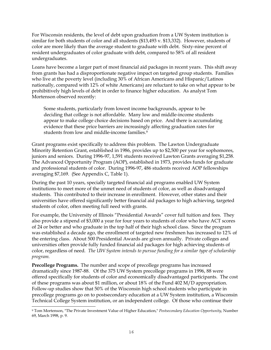For Wisconsin residents, the level of debt upon graduation from a UW System institution is similar for both students of color and all students (\$13,493 v. \$13,332). However, students of color are more likely than the average student to graduate with debt. Sixty-nine percent of resident undergraduates of color graduate with debt, compared to 58% of all resident undergraduates.

Loans have become a larger part of most financial aid packages in recent years. This shift away from grants has had a disproportionate negative impact on targeted group students. Families who live at the poverty level (including 30% of African Americans and Hispanic/Latinos nationally, compared with 12% of white Americans) are reluctant to take on what appear to be prohibitively high levels of debt in order to finance higher education. As analyst Tom Mortenson observed recently:

Some students, particularly from lowest income backgrounds, appear to be deciding that college is not affordable. Many low and middle-income students appear to make college choice decisions based on price. And there is accumulating evidence that these price barriers are increasingly affecting graduation rates for students from low and middle-income families[.9](#page-16-0)

Grant programs exist specifically to address this problem. The Lawton Undergraduate Minority Retention Grant, established in 1986, provides up to \$2,500 per year for sophomores, juniors and seniors. During 1996-97, 1,591 students received Lawton Grants averaging \$1,258. The Advanced Opportunity Program (AOP), established in 1973, provides funds for graduate and professional students of color. During 1996-97, 486 students received AOP fellowships averaging \$7,169. (See Appendix C, Table 1).

During the past 10 years, specially targeted financial aid programs enabled UW System institutions to meet more of the unmet need of students of color, as well as disadvantaged students. This contributed to their increase in enrollment. However, other states and their universities have offered significantly better financial aid packages to high achieving, targeted students of color, often meeting full need with grants.

For example, the University of Illinois "Presidential Awards" cover full tuition and fees. They also provide a stipend of \$3,000 a year for four years to students of color who have ACT scores of 24 or better and who graduate in the top half of their high school class. Since the program was established a decade ago, the enrollment of targeted new freshmen has increased to 12% of the entering class. About 500 Presidential Awards are given annually. Private colleges and universities often provide fully funded financial aid packages for high achieving students of color, regardless of need*. The UW System intends to pursue funding for a similar type of scholarship program.*

**Precollege Programs.** The number and scope of precollege programs has increased dramatically since 1987-88. Of the 375 UW System precollege programs in 1996, 88 were offered specifically for students of color and economically disadvantaged participants. The cost of these programs was about \$1 million, or about 18% of the Fund 402 M/D appropriation. Follow-up studies show that 50% of the Wisconsin high school students who participate in precollege programs go on to postsecondary education at a UW System institution, a Wisconsin Technical College System institution, or an independent college. Of those who continue their

<span id="page-16-0"></span>i<br>L 9 Tom Mortenson, "The Private Investment Value of Higher Education," *Postsecondary Education Opportunity*, Number 69, March 1998, p. 9.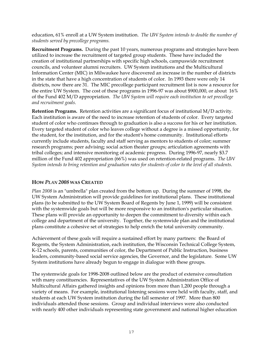education, 61% enroll at a UW System institution. *The UW System intends to double the number of students served by precollege programs.*

**Recruitment Programs.** During the past 10 years, numerous programs and strategies have been utilized to increase the recruitment of targeted group students. These have included the creation of institutional partnerships with specific high schools, campuswide recruitment councils, and volunteer alumni recruiters. UW System institutions and the Multicultural Information Center (MIC) in Milwaukee have discovered an increase in the number of districts in the state that have a high concentration of students of color. In 1993 there were only 14 districts, now there are 31. The MIC precollege participant recruitment list is now a resource for the entire UW System. The cost of these programs in 1996-97 was about \$900,000, or about 16% of the Fund 402 M/D appropriation. *The UW System will require each institution to set precollege and recruitment goals.* 

**Retention Programs.** Retention activities are a significant focus of institutional M/D activity. Each institution is aware of the need to increase retention of students of color. Every targeted student of color who continues through to graduation is also a success for his or her institution. Every targeted student of color who leaves college without a degree is a missed opportunity, for the student, for the institution, and for the student's home community. Institutional efforts currently include students, faculty and staff serving as mentors to students of color; summer research programs; peer advising; social action theater groups; articulation agreements with tribal colleges; and intensive monitoring of academic progress. During 1996-97, nearly \$3.7 million of the Fund 402 appropriation (66%) was used on retention-related programs. *The UW System intends to bring retention and graduation rates for students of color to the level of all students.* 

## **HOW** *PLAN 2008* **WAS CREATED**

*Plan 2008* is an "umbrella" plan created from the bottom up. During the summer of 1998, the UW System Administration will provide guidelines for institutional plans. These institutional plans (to be submitted to the UW System Board of Regents by June 1, 1999) will be consistent with the systemwide goals but will be more responsive to an institution's particular situation. These plans will provide an opportunity to deepen the commitment to diversity within each college and department of the university. Together, the systemwide plan and the institutional plans constitute a cohesive set of strategies to help enrich the total university community.

Achievement of these goals will require a sustained effort by many partners: the Board of Regents, the System Administration, each institution, the Wisconsin Technical College System, K-12 schools, parents, communities of color, the Department of Public Instruction, business leaders, community-based social service agencies, the Governor, and the legislature. Some UW System institutions have already begun to engage in dialogue with these groups.

The systemwide goals for 1998-2008 outlined below are the product of extensive consultation with many constituencies. Representatives of the UW System Administration Office of Multicultural Affairs gathered insights and opinions from more than 1,200 people through a variety of means. For example, institutional listening sessions were held with faculty, staff, and students at each UW System institution during the fall semester of 1997. More than 800 individuals attended those sessions. Group and individual interviews were also conducted with nearly 400 other individuals representing state government and national higher education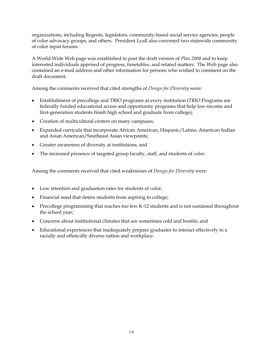organizations, including Regents, legislators, community-based social service agencies, people of color advocacy groups, and others. President Lyall also convened two statewide community of color input forums.

A World Wide Web page was established to post the draft version of *Plan 2008* and to keep interested individuals apprised of progress, timetables, and related matters. The Web page also contained an e-mail address and other information for persons who wished to comment on the draft document.

Among the comments received that cited strengths of *Design for Diversity* were:

- Establishment of precollege and TRIO programs at every institution (TRIO Programs are federally funded educational access and opportunity programs that help low-income and first-generation students finish high school and graduate from college);
- Creation of multicultural centers on many campuses;
- Expanded curricula that incorporate African American, Hispanic/Latino, American Indian and Asian American/Southeast Asian viewpoints;
- Greater awareness of diversity at institutions; and
- The increased presence of targeted group faculty, staff, and students of color.

Among the comments received that cited weaknesses of *Design for Diversity* were:

- Low retention and graduation rates for students of color;
- Financial need that deters students from aspiring to college;
- Precollege programming that reaches too few K-12 students and is not sustained throughout the school year;
- Concerns about institutional climates that are sometimes cold and hostile; and
- Educational experiences that inadequately prepare graduates to interact effectively in a racially and ethnically diverse nation and workplace.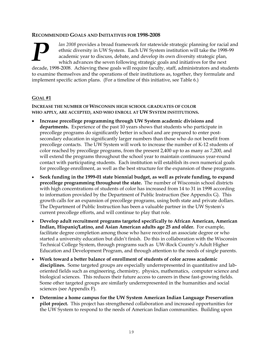## **RECOMME NDED GOALS AND INITIATIVES FOR 1998-2008**

*lan 2008* provides a broad framework for statewide strategic planning for racial and ethnic diversity in UW System. Each UW System institution will take the 1998-99 academic year to discuss, debate, and develop its own di ethnic diversity in UW System. Each UW System institution will take the 1998-9 9 academic year to discuss, debate, and develop its own diversity strategic plan, which advances the seven following strategic goals and initiatives for the next

decade, 1998-2008. Achieving these goals will require faculty, staff, administrators and student s to examine themselves and the operations of their institutions as, together, they formulate and implement specific action plans. (For a timeline of this initiative, se e Table 6.)

## **GOAL #1**

**INCREASE THE NUMBER OF WISCONSIN HIGH SCHOOL GRADUATES OF COLOR WHO APPLY, ARE ACCEPTED, AND WHO ENROLL AT UW SYSTEM INSTITUTIONS.** 

- **Increase precollege programming through UW System academic divisions and departments.** Experience of the past 10 years shows that students who participate in precollege programs do significantly better in school and are prepared to enter postsecondary education in significantly larger numbers than those who do not benefit from precollege contacts. The UW System will work to increase the number of K-12 students of color reached by precollege programs, from the present 2,400 up to as many as 7,200, and will extend the programs throughout the school year to maintain continuous year-round contact with participating students. Each institution will establish its own numerical goals for precollege enrollment, as well as the best structure for the expansion of these programs.
- **Seek funding in the 1999-01 state biennial budget, as well as private funding, to expand precollege programming throughout the state.** The number of Wisconsin school districts with high concentrations of students of color has increased from 14 to 31 in 1998 according to information provided by the Department of Public Instruction (See Appendix G). This growth calls for an expansion of precollege programs, using both state and private dollars. The Department of Public Instruction has been a valuable partner in the UW System's current precollege efforts, and will continue to play that role.
- **Develop adult recruitment programs targeted specifically to African American, American Indian, Hispanic/Latino, and Asian American adults age 25 and older.** For example, facilitate degree completion among those who have received an associate degree or who started a university education but didn't finish. Do this in collaboration with the Wisconsin Technical College System, through programs such as UW-Rock County's Adult Higher Education and Development Program, and through attention to the needs of single parents.
- **Work toward a better balance of enrollment of students of color across academic disciplines.** Some targeted groups are especially underrepresented in quantitative and laboriented fields such as engineering, chemistry, physics, mathematics, computer science and biological sciences. This reduces their future access to careers in these fast-growing fields. Some other targeted groups are similarly underrepresented in the humanities and social sciences (see Appendix F).
- **Determine a home campus for the UW System American Indian Language Preservation pilot project.** This project has strengthened collaboration and increased opportunities for the UW System to respond to the needs of American Indian communities. Building upon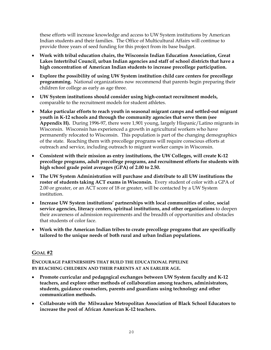these efforts will increase knowledge and access to UW System institutions by American Indian students and their families. The Office of Multicultural Affairs will continue to provide three years of seed funding for this project from its base budget.

- **Work with tribal education chairs, the Wisconsin Indian Education Association, Great Lakes Intertribal Council, urban Indian agencies and staff of school districts that have a high concentration of American Indian students to increase precollege participation.**
- **Explore the possibility of using UW System institution child care centers for precollege programming.** National organizations now recommend that parents begin preparing their children for college as early as age three.
- **UW System institutions should consider using high-contact recruitment models,**  comparable to the recruitment models for student athletes.
- **Make particular efforts to reach youth in seasonal migrant camps and settled-out migrant youth in K-12 schools and through the community agencies that serve them (see Appendix H).** During 1996-97, there were 1,901 young, largely Hispanic/Latino migrants in Wisconsin. Wisconsin has experienced a growth in agricultural workers who have permanently relocated to Wisconsin. This population is part of the changing demographics of the state. Reaching them with precollege programs will require conscious efforts at outreach and service, including outreach to migrant worker camps in Wisconsin.
- **Consistent with their mission as entry institutions, the UW Colleges, will create K-12 precollege programs, adult precollege programs, and recruitment efforts for students with high school grade point averages (GPA) of 2.00 to 2.50.**
- **The UW System Administration will purchase and distribute to all UW institutions the roster of students taking ACT exams in Wisconsin.** Every student of color with a GPA of 2.00 or greater, or an ACT score of 18 or greater, will be contacted by a UW System institution.
- **Increase UW System institutions' partnerships with local communities of color, social service agencies, literacy centers, spiritual institutions, and other organizations** to deepen their awareness of admission requirements and the breadth of opportunities and obstacles that students of color face.
- **Work with the American Indian tribes to create precollege programs that are specifically tailored to the unique needs of both rural and urban Indian populations.**

## **GOAL #2**

**ENCOURAGE PARTNERSHIPS THAT BUILD THE EDUCATIONAL PIPELINE BY REACHING CHILDREN AND THEIR PARENTS AT AN EARLIER AGE.** 

- **Promote curricular and pedagogical exchanges between UW System faculty and K-12 teachers, and explore other methods of collaboration among teachers, administrators, students, guidance counselors, parents and guardians using technology and other communication methods.**
- **Collaborate with the Milwaukee Metropolitan Association of Black School Educators to increase the pool of African American K-12 teachers.**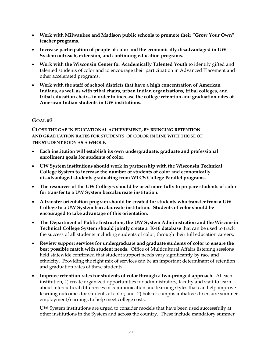- **Work with Milwaukee and Madison public schools to promote their "Grow Your Own" teacher programs.**
- **Increase participation of people of color and the economically disadvantaged in UW System outreach, extension, and continuing education programs.**
- **Work with the Wisconsin Center for Academically Talented Youth** to identify gifted and talented students of color and to encourage their participation in Advanced Placement and other accelerated programs.
- **Work with the staff of school districts that have a high concentration of American Indians, as well as with tribal chairs, urban Indian organizations, tribal colleges, and tribal education chairs, in order to increase the college retention and graduation rates of American Indian students in UW institutions.**

## **GOAL #3**

**CLOSE THE GAP IN EDUCATIONAL ACHIEVEMENT, BY BRINGING RETENTION AND GRADUATION RATES FOR STUDENTS OF COLOR IN LINE WITH THOSE OF THE STUDENT BODY AS A WHOLE.**

- **Each institution will establish its own undergraduate, graduate and professional enrollment goals for students of color**.
- **UW System institutions should work in partnership with the Wisconsin Technical College System to increase the number of students of color and economically disadvantaged students graduating from WTCS College Parallel programs.**
- **The resources of the UW Colleges should be used more fully to prepare students of color for transfer to a UW System baccalaureate institution.**
- **A transfer orientation program should be created for students who transfer from a UW College to a UW System baccalaureate institution. Students of color should be encouraged to take advantage of this orientation.**
- **The Department of Public Instruction, the UW System Administration and the Wisconsin Technical College System should jointly create a K-16 database** that can be used to track the success of all students including students of color, through their full education careers.
- **Review support services for undergraduate and graduate students of color to ensure the best possible match with student needs**. Office of Multicultural Affairs listening sessions held statewide confirmed that student support needs vary significantly by race and ethnicity. Providing the right mix of services can be an important determinant of retention and graduation rates of these students.
- **Improve retention rates for students of color through a two-pronged approach.** At each institution, 1) create organized opportunities for administrators, faculty and staff to learn about intercultural differences in communication and learning styles that can help improve learning outcomes for students of color; and 2) bolster campus initiatives to ensure summer employment/earnings to help meet college costs.

UW System institutions are urged to consider models that have been used successfully at other institutions in the System and across the country. These include mandatory summer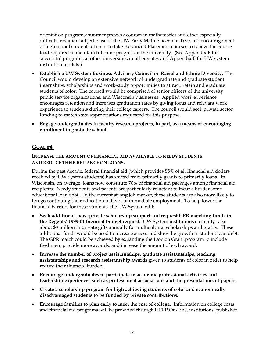orientation programs; summer preview courses in mathematics and other especially difficult freshman subjects; use of the UW Early Math Placement Test; and encouragement of high school students of color to take Advanced Placement courses to relieve the course load required to maintain full-time progress at the university. (See Appendix E for successful programs at other universities in other states and Appendix B for UW system institution models.)

- **Establish a UW System Business Advisory Council on Racial and Ethnic Diversity.** The Council would develop an extensive network of undergraduate and graduate student internships, scholarships and work-study opportunities to attract, retain and graduate students of color. The council would be comprised of senior officers of the university, public service organizations, and Wisconsin businesses. Applied work experience encourages retention and increases graduation rates by giving focus and relevant work experience to students during their college careers. The council would seek private sector funding to match state appropriations requested for this purpose.
- **Engage undergraduates in faculty research projects, in part, as a means of encouraging enrollment in graduate school.**

## **GOAL #4**

**INCREASE THE AMOUNT OF FINANCIAL AID AVAILABLE TO NEEDY STUDENTS AND REDUCE THEIR RELIANCE ON LOANS.**

During the past decade, federal financial aid (which provides 85% of all financial aid dollars received by UW System students) has shifted from primarily grants to primarily loans. In Wisconsin, on average, loans now constitute 70% of financial aid packages among financial aid recipients. Needy students and parents are particularly reluctant to incur a burdensome educational loan debt . In the current strong job market, these students are also more likely to forego continuing their education in favor of immediate employment. To help lower the financial barriers for these students, the UW System will:

- **Seek additional, new, private scholarship support and request GPR matching funds in the Regents' 1999-01 biennial budget request.** UW System institutions currently raise about \$9 million in private gifts annually for multicultural scholarships and grants. These additional funds would be used to increase access and slow the growth in student loan debt. The GPR match could be achieved by expanding the Lawton Grant program to include freshmen, provide more awards, and increase the amount of each award**.**
- **Increase the number of project assistantships, graduate assistantships, teaching assistantships and research assistantship awards** given to students of color in order to help reduce their financial burden.
- **Encourage undergraduates to participate in academic professional activities and leadership experiences such as professional associations and the presentations of papers.**
- **Create a scholarship program for high achieving students of color and economically disadvantaged students to be funded by private contributions.**
- **Encourage families to plan early to meet the cost of college.** Information on college costs and financial aid programs will be provided through HELP On-Line, institutions' published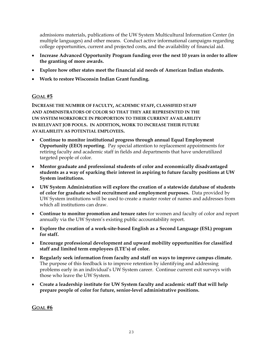admissions materials, publications of the UW System Multicultural Information Center (in multiple languages) and other means. Conduct active informational campaigns regarding college opportunities, current and projected costs, and the availability of financial aid.

- **Increase Advanced Opportunity Program funding over the next 10 years in order to allow the granting of more awards.**
- **Explore how other states meet the financial aid needs of American Indian students.**
- **Work to restore Wisconsin Indian Grant funding.**

## **GOAL #5**

**INCREASE THE NUMBER OF FACULTY, ACADEMIC STAFF, CLASSIFIED STAFF AND ADMINISTRATORS OF COLOR SO THAT THEY ARE REPRESENTED IN THE UW SYSTEM WORKFORCE IN PROPORTION TO THEIR CURRENT AVAILABILITY IN RELEVANT JOB POOLS. IN ADDITION, WORK TO INCREASE THEIR FUTURE AVAILABILITY AS POTENTIAL EMPLOYEES.**

- **Continue to monitor institutional progress through annual Equal Employment Opportunity (EEO) reporting**. Pay special attention to replacement appointments for retiring faculty and academic staff in fields and departments that have underutilized targeted people of color.
- **Mentor graduate and professional students of color and economically disadvantaged students as a way of sparking their interest in aspiring to future faculty positions at UW System institutions.**
- **UW System Administration will explore the creation of a statewide database of students of color for graduate school recruitment and employment purposes.** Data provided by UW System institutions will be used to create a master roster of names and addresses from which all institutions can draw.
- **Continue to monitor promotion and tenure rates** for women and faculty of color and report annually via the UW System's existing public accountability report.
- **Explore the creation of a work-site-based English as a Second Language (ESL) program for staff.**
- **Encourage professional development and upward mobility opportunities for classified staff and limited term employees (LTE's) of color.**
- **Regularly seek information from faculty and staff on ways to improve campus climate.**  The purpose of this feedback is to improve retention by identifying and addressing problems early in an individual's UW System career. Continue current exit surveys with those who leave the UW System.
- **Create a leadership institute for UW System faculty and academic staff that will help prepare people of color for future, senior-level administrative positions.**

**GOAL #6**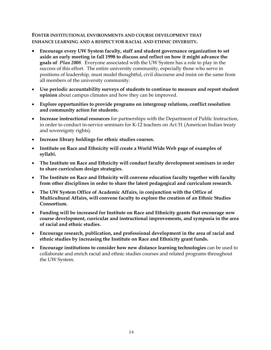## **FOSTER INSTITUTIONAL ENVIRONMENTS AND COURSE DEVELOPMENT THAT ENHANCE LEARNING AND A RESPECT FOR RACIAL AND ETHNIC DIVERSITY.**

- **Encourage every UW System faculty, staff and student governance organization to set aside an early meeting in fall 1998 to discuss and reflect on how it might advance the goals of** *Plan 2008.* Everyone associated with the UW System has a role to play in the success of this effort. The entire university community, especially those who serve in positions of leadership, must model thoughtful, civil discourse and insist on the same from all members of the university community.
- **Use periodic accountability surveys of students to continue to measure and report student opinion** about campus climates and how they can be improved.
- **Explore opportunities to provide programs on intergroup relations, conflict resolution and community action for students.**
- **Increase instructional resources** for partnerships with the Department of Public Instruction, in order to conduct in-service seminars for K-12 teachers on Act 31 (American Indian treaty and sovereignty rights).
- **Increase library holdings for ethnic studies courses.**
- **Institute on Race and Ethnicity will create a World Wide Web page of examples of syllabi.**
- **The Institute on Race and Ethnicity will conduct faculty development seminars in order to share curriculum design strategies.**
- **The Institute on Race and Ethnicity will convene education faculty together with faculty from other disciplines in order to share the latest pedagogical and curriculum research.**
- **The UW System Office of Academic Affairs, in conjunction with the Office of Multicultural Affairs, will convene faculty to explore the creation of an Ethnic Studies Consortium.**
- **Funding will be increased for Institute on Race and Ethnicity grants that encourage new course development, curricular and instructional improvements, and symposia in the area of racial and ethnic studies.**
- **Encourage research, publication, and professional development in the area of racial and ethnic studies by increasing the Institute on Race and Ethnicity grant funds.**
- **Encourage institutions to consider how new distance learning technologies** can be used to collaborate and enrich racial and ethnic studies courses and related programs throughout the UW System.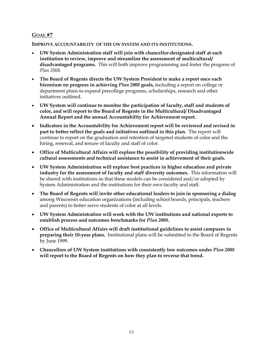## **GOAL #7**

**IMPROVE ACCOUNTABILITY OF THE UW SYSTEM AND ITS INSTITUTIONS.** 

- **UW System Administration staff will join with chancellor-designated staff at each institution to review, improve and streamline the assessment of multicultural/ disadvantaged programs.** This will both improve programming and foster the progress of *Plan 2008.*
- **The Board of Regents directs the UW System President to make a report once each biennium on progress in achieving** *Plan 2008* **goals,** including a report on college or department plans to expand precollege programs, scholarships, research and other initiatives outlined.
- **UW System will continue to monitor the participation of faculty, staff and students of color, and will report to the Board of Regents in the Multicultural/ Disadvantaged Annual Report and the annual Accountability for Achievement report.**
- **Indicators in the Accountability for Achievement report will be reviewed and revised in part to better reflect the goals and initiatives outlined in this plan.** The report will continue to report on the graduation and retention of targeted students of color and the hiring, renewal, and tenure of faculty and staff of color.
- **Office of Multicultural Affairs will explore the possibility of providing institutionwide cultural assessments and technical assistance to assist in achievement of their goals.**
- **UW System Administration will explore best practices in higher education and private industry for the assessment of faculty and staff diversity outcomes.** This information will be shared with institutions so that these models can be considered and/or adopted by System Administration and the institutions for their own faculty and staff.
- **The Board of Regents will invite other educational leaders to join in sponsoring a dialog** among Wisconsin education organizations (including school boards, principals, teachers and parents) to better serve students of color at all levels.
- **UW System Administration will work with the UW institutions and national experts to establish process and outcomes benchmarks for** *Plan 2008***.**
- **Office of Multicultural Affairs will draft institutional guidelines to assist campuses in preparing their 10-year plans.** Institutional plans will be submitted to the Board of Regents by June 1999.
- **Chancellors of UW System institutions with consistently low outcomes under** *Plan 2008* **will report to the Board of Regents on how they plan to reverse that trend.**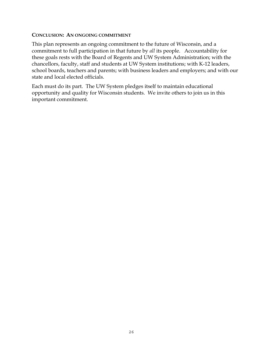## **CONCLUSION: AN ONGOING COMMITMENT**

This plan represents an ongoing commitment to the future of Wisconsin, and a commitment to full participation in that future by *all* its people. Accountability for these goals rests with the Board of Regents and UW System Administration; with the chancellors, faculty, staff and students at UW System institutions; with K-12 leaders, school boards, teachers and parents; with business leaders and employers; and with our state and local elected officials.

Each must do its part. The UW System pledges itself to maintain educational opportunity and quality for Wisconsin students. We invite others to join us in this important commitment.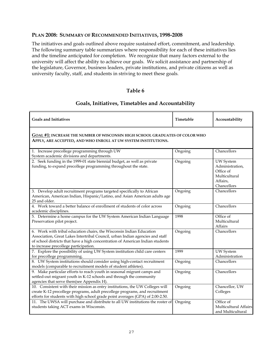## **PLAN 2008: SUMMARY OF RECOMMENDED INITIATIVES, 1998-2008**

The initiatives and goals outlined above require sustained effort, commitment, and leadership. The following summary table summarizes where responsibility for each of these initiatives lies and the timeline anticipated for completion. We recognize that many factors external to the university will affect the ability to achieve our goals. We solicit assistance and partnership of the legislature, Governor, business leaders, private institutions, and private citizens as well as university faculty, staff, and students in striving to meet these goals.

## **Table 6**

## **Goals, Initiatives, Timetables and Accountability**

| <b>Goals and Initiatives</b>                                                                                                                                                                                                                                                     | Timetable                                                                           | Accountability                                                                               |  |  |  |  |  |
|----------------------------------------------------------------------------------------------------------------------------------------------------------------------------------------------------------------------------------------------------------------------------------|-------------------------------------------------------------------------------------|----------------------------------------------------------------------------------------------|--|--|--|--|--|
| APPLY, ARE ACCEPTED, AND WHO ENROLL AT UW SYSTEM INSTITUTIONS.                                                                                                                                                                                                                   | <b>GOAL #1: INCREASE THE NUMBER OF WISCONSIN HIGH SCHOOL GRADUATES OF COLOR WHO</b> |                                                                                              |  |  |  |  |  |
| 1. Increase precollege programming through UW<br>System academic divisions and departments.                                                                                                                                                                                      | Ongoing                                                                             | Chancellors                                                                                  |  |  |  |  |  |
| 2. Seek funding in the 1999-01 state biennial budget, as well as private<br>funding, to expand precollege programming throughout the state.                                                                                                                                      | Ongoing                                                                             | <b>UW</b> System<br>Administration,<br>Office of<br>Multicultural<br>Affairs,<br>Chancellors |  |  |  |  |  |
| 3. Develop adult recruitment programs targeted specifically to African<br>American, American Indian, Hispanic/Latino, and Asian American adults age<br>25 and older.                                                                                                             | Ongoing                                                                             | Chancellors                                                                                  |  |  |  |  |  |
| 4. Work toward a better balance of enrollment of students of color across<br>academic disciplines.                                                                                                                                                                               | Ongoing                                                                             | Chancellors                                                                                  |  |  |  |  |  |
| 5. Determine a home campus for the UW System American Indian Language<br>Preservation pilot project.                                                                                                                                                                             | 1998                                                                                | Office of<br>Multicultural<br>Affairs                                                        |  |  |  |  |  |
| 6. Work with tribal education chairs, the Wisconsin Indian Education<br>Association, Great Lakes Intertribal Council, urban Indian agencies and staff<br>of school districts that have a high concentration of American Indian students<br>to increase precollege participation. | Ongoing                                                                             | Chancellors                                                                                  |  |  |  |  |  |
| 7. Explore the possibility of using UW System institution child care centers<br>for precollege programming.                                                                                                                                                                      | 1999                                                                                | <b>UW</b> System<br>Administration                                                           |  |  |  |  |  |
| 8. UW System institutions should consider using high-contact recruitment<br>models (comparable to recruitment models of student athletes).                                                                                                                                       | Ongoing                                                                             | Chancellors                                                                                  |  |  |  |  |  |
| 9. Make particular efforts to reach youth in seasonal migrant camps and<br>settled-out migrant youth in K-12 schools and through the community<br>agencies that serve them(see Appendix H).                                                                                      | Ongoing                                                                             | Chancellors                                                                                  |  |  |  |  |  |
| 10. Consistent with their mission as entry institutions, the UW Colleges will<br>create K-12 precollege programs, adult precollege programs, and recruitment<br>efforts for students with high school grade point averages (GPA) of 2.00-2.50.                                   | Ongoing                                                                             | Chancellor, UW<br>Colleges                                                                   |  |  |  |  |  |
| 11. The UWSA will purchase and distribute to all UW institutions the roster of<br>students taking ACT exams in Wisconsin.                                                                                                                                                        | Ongoing                                                                             | Office of<br>Multicultural Affairs<br>and Multicultural                                      |  |  |  |  |  |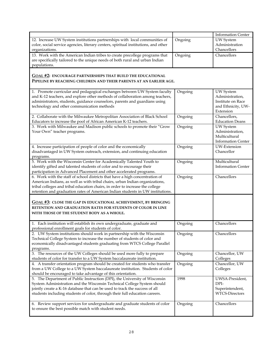|                                                                                                                                                      |         | <b>Information Center</b>                  |
|------------------------------------------------------------------------------------------------------------------------------------------------------|---------|--------------------------------------------|
| 12. Increase UW System institutions partnerships with local communities of                                                                           | Ongoing | <b>UW</b> System                           |
| color, social service agencies, literary centers, spiritual institutions, and other                                                                  |         | Administration                             |
| organizations.                                                                                                                                       |         | Chancellors                                |
| 13. Work with the American Indian tribes to create precollege programs that                                                                          | Ongoing | Chancellors                                |
| are specifically tailored to the unique needs of both rural and urban Indian                                                                         |         |                                            |
| populations.                                                                                                                                         |         |                                            |
| <b>GOAL #2: ENCOURAGE PARTNERSHIPS THAT BUILD THE EDUCATIONAL</b>                                                                                    |         |                                            |
| PIPELINE BY REACHING CHILDREN AND THEIR PARENTS AT AN EARLIER AGE.                                                                                   |         |                                            |
|                                                                                                                                                      |         |                                            |
| 1. Promote curricular and pedagogical exchanges between UW System faculty                                                                            | Ongoing | <b>UW</b> System                           |
| and K-12 teachers, and explore other methods of collaboration among teachers,                                                                        |         | Administration,                            |
| administrators, students, guidance counselors, parents and guardians using                                                                           |         | Institute on Race                          |
| technology and other communication methods                                                                                                           |         | and Ethnicity, UW-                         |
|                                                                                                                                                      |         | Extension                                  |
| 2. Collaborate with the Milwaukee Metropolitan Association of Black School<br>Educators to increase the pool of African American K-12 teachers.      | Ongoing | Chancellors,<br><b>Education Deans</b>     |
| 3. Work with Milwaukee and Madison public schools to promote their "Grow                                                                             | Ongoing | <b>UW</b> System                           |
| Your Own" teacher programs.                                                                                                                          |         | Administration,                            |
|                                                                                                                                                      |         | Multicultural                              |
|                                                                                                                                                      |         | <b>Information Center</b>                  |
| 4. Increase participation of people of color and the economically                                                                                    | Ongoing | UW-Extension                               |
| disadvantaged in UW System outreach, extension, and continuing education                                                                             |         | Chancellor                                 |
| programs.                                                                                                                                            |         |                                            |
| 5. Work with the Wisconsin Center for Academically Talented Youth to<br>identify gifted and talented students of color and to encourage their        | Ongoing | Multicultural<br><b>Information Center</b> |
| participation in Advanced Placement and other accelerated programs.                                                                                  |         |                                            |
| 6. Work with the staff of school districts that have a high concentration of                                                                         | Ongoing | Chancellors                                |
| American Indians, as well as with tribal chairs, urban Indian organizations,                                                                         |         |                                            |
| tribal colleges and tribal education chairs, in order to increase the college                                                                        |         |                                            |
| retention and graduation rates of American Indian students in UW institutions.                                                                       |         |                                            |
|                                                                                                                                                      |         |                                            |
| <b>GOAL #3: CLOSE THE GAP IN EDUCATIONAL ACHIEVEMENT, BY BRINGING</b>                                                                                |         |                                            |
| RETENTION AND GRADUATION RATES FOR STUDENTS OF COLOR IN LINE<br>WITH THOSE OF THE STUDENT BODY AS A WHOLE.                                           |         |                                            |
|                                                                                                                                                      |         |                                            |
| 1. Each institution will establish its own undergraduate, graduate and                                                                               | Ongoing | Chancellors                                |
| professional enrollment goals for students of color.                                                                                                 |         |                                            |
| 2. UW System institutions should work in partnership with the Wisconsin                                                                              | Ongoing | Chancellors                                |
| Technical College System to increase the number of students of color and                                                                             |         |                                            |
| economically disadvantaged students graduating from WTCS College Parallel                                                                            |         |                                            |
| programs.                                                                                                                                            |         |                                            |
| 3. The resources of the UW Colleges should be used more fully to prepare<br>students of color for transfer to a UW System baccalaureate institution. | Ongoing | Chancellor, UW<br>Colleges                 |
| 4. A transfer orientation program should be created for students who transfer                                                                        | Ongoing | Chancellor, UW                             |
| from a UW College to a UW System baccalaureate institution. Students of color                                                                        |         | Colleges                                   |
| should be encouraged to take advantage of this orientation.                                                                                          |         |                                            |
| 5. The Department of Public Instruction (DPI), the University of Wisconsin                                                                           | 1998    | UWSA-President,                            |
| System Administration and the Wisconsin Technical College System should                                                                              |         | DPI-                                       |
| jointly create a K-16 database that can be used to track the success of all                                                                          |         | Superintendent,                            |
| students including students of color, through their full education careers.                                                                          |         | WTCS-Directors                             |
| 6. Review support services for undergraduate and graduate students of color                                                                          | Ongoing | Chancellors                                |
| to ensure the best possible match with student needs.                                                                                                |         |                                            |
|                                                                                                                                                      |         |                                            |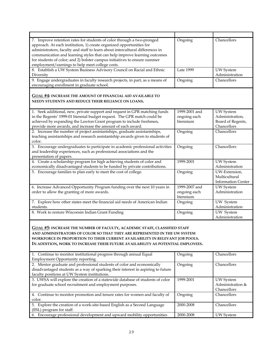| 7. Improve retention rates for students of color through a two-pronged<br>approach. At each institution, 1) create organized opportunities for<br>administrators, faculty and staff to learn about intercultural differences in<br>communication and learning styles that can help improve learning outcomes<br>for students of color; and 2) bolster campus initiatives to ensure summer<br>employment/earnings to help meet college costs. | Ongoing          | Chancellors                                         |
|----------------------------------------------------------------------------------------------------------------------------------------------------------------------------------------------------------------------------------------------------------------------------------------------------------------------------------------------------------------------------------------------------------------------------------------------|------------------|-----------------------------------------------------|
| 8. Establish a UW System Business Advisory Council on Racial and Ethnic<br>Diversity                                                                                                                                                                                                                                                                                                                                                         | <b>Late 1999</b> | <b>UW</b> System<br>Administration                  |
| 9. Engage undergraduates in faculty research projects, in part, as a means of<br>encouraging enrollment in graduate school.                                                                                                                                                                                                                                                                                                                  | Ongoing          | Chancellors                                         |
| <b>GOAL #4: INCREASE THE AMOUNT OF FINANCIAL AID AVAILABLE TO</b><br>NEEDY STUDENTS AND REDUCE THEIR RELIANCE ON LOANS.                                                                                                                                                                                                                                                                                                                      |                  |                                                     |
| 1. Seek additional, new, private support and request in GPR matching funds                                                                                                                                                                                                                                                                                                                                                                   | 1999-2001 and    | <b>UW</b> System                                    |
| in the Regents' 1999-01 biennial budget request. The GPR match could be                                                                                                                                                                                                                                                                                                                                                                      | ongoing each     | Administration,                                     |
| achieved by expanding the Lawton Grant program to include freshmen,                                                                                                                                                                                                                                                                                                                                                                          | biennium         | Board of Regents,                                   |
| provide more awards, and increase the amount of each award.                                                                                                                                                                                                                                                                                                                                                                                  |                  | Chancellors                                         |
| 2. Increase the number of project assistantships, graduate assistantships,<br>teaching assistantships and research assistantship awards given to students of<br>color.                                                                                                                                                                                                                                                                       | Ongoing          | Chancellors                                         |
| 3. Encourage undergraduates to participate in academic professional activities<br>and leadership experiences, such as professional associations and the<br>presentation of papers.                                                                                                                                                                                                                                                           | Ongoing          | Chancellors                                         |
| 4. Create a scholarship program for high achieving students of color and<br>economically disadvantaged students to be funded by private contributions.                                                                                                                                                                                                                                                                                       | 1999-2001        | UW System<br>Administration                         |
| 5. Encourage families to plan early to meet the cost of college.                                                                                                                                                                                                                                                                                                                                                                             | Ongoing          | UW-Extension,                                       |
|                                                                                                                                                                                                                                                                                                                                                                                                                                              |                  | Multicultural                                       |
|                                                                                                                                                                                                                                                                                                                                                                                                                                              |                  | <b>Information Center</b>                           |
| 6. Increase Advanced Opportunity Program funding over the next 10 years in                                                                                                                                                                                                                                                                                                                                                                   | 1999-2007 and    | <b>UW</b> System                                    |
| order to allow the granting of more awards.                                                                                                                                                                                                                                                                                                                                                                                                  | ongoing each     | Administration                                      |
|                                                                                                                                                                                                                                                                                                                                                                                                                                              | biennium         |                                                     |
| 7. Explore how other states meet the financial aid needs of American Indian<br>students.                                                                                                                                                                                                                                                                                                                                                     | Ongoing          | UW System<br>Administration                         |
| 8. Work to restore Wisconsin Indian Grant Funding                                                                                                                                                                                                                                                                                                                                                                                            | Ongoing          | UW System                                           |
|                                                                                                                                                                                                                                                                                                                                                                                                                                              |                  | Administration                                      |
| <b>GOAL #5: INCREASE THE NUMBER OF FACULTY, ACADEMIC STAFF, CLASSIFIED STAFF</b><br>AND ADMINISTRATORS OF COLOR SO THAT THEY ARE REPRESENTED IN THE UW SYSTEM<br>WORKFORCE IN PROPORTION TO THEIR CURRENT AVAILABILITY IN RELEVANT JOB POOLS.<br>IN ADDITION, WORK TO INCREASE THEIR FUTURE AVAILABILITY AS POTENTIAL EMPLOYEES.                                                                                                             |                  |                                                     |
| 1. Continue to monitor institutional progress through annual Equal<br>Employment Opportunity reporting.                                                                                                                                                                                                                                                                                                                                      | Ongoing          | Chancellors                                         |
| 2. Mentor graduate and professional students of color and economically<br>disadvantaged students as a way of sparking their interest in aspiring to future<br>faculty positions at UW System institutions.                                                                                                                                                                                                                                   | Ongoing          | Chancellors                                         |
| 3. UWSA will explore the creation of a statewide database of students of color<br>for graduate school recruitment and employment purposes.                                                                                                                                                                                                                                                                                                   | 1999-2001        | <b>UW</b> System<br>Administration &<br>Chancellors |
| 4. Continue to monitor promotion and tenure rates for women and faculty of<br>color.                                                                                                                                                                                                                                                                                                                                                         | Ongoing          | Chancellors                                         |
| 5. Explore the creation of a work-site-based English as a Second Language<br>(ESL) program for staff.                                                                                                                                                                                                                                                                                                                                        | 2000-2008        | Chancellors                                         |
| 6. Encourage professional development and upward mobility opportunities                                                                                                                                                                                                                                                                                                                                                                      | 2000-2008        | <b>UW</b> System                                    |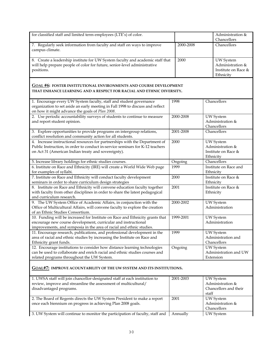| for classified staff and limited term employees (LTE's) of color.                                                                                           |           | Administration &<br>Chancellors      |
|-------------------------------------------------------------------------------------------------------------------------------------------------------------|-----------|--------------------------------------|
| 7. Regularly seek information from faculty and staff on ways to improve                                                                                     | 2000-2008 | Chancellors                          |
| campus climate.                                                                                                                                             |           |                                      |
|                                                                                                                                                             |           |                                      |
| 8. Create a leadership institute for UW System faculty and academic staff that<br>will help prepare people of color for future, senior-level administrative | 2000      | <b>UW</b> System<br>Administration & |
| positions.                                                                                                                                                  |           | Institute on Race &                  |
|                                                                                                                                                             |           | Ethnicity                            |
|                                                                                                                                                             |           |                                      |
| <b>GOAL #6: FOSTER INSTITUTIONAL ENVIRONMENTS AND COURSE DEVELOPMENT</b>                                                                                    |           |                                      |
| THAT ENHANCE LEARNING AND A RESPECT FOR RACIAL AND ETHNIC DIVERSITY.                                                                                        |           |                                      |
| 1. Encourage every UW System faculty, staff and student governance                                                                                          | 1998      | Chancellors                          |
| organization to set aside an early meeting in Fall 1998 to discuss and reflect                                                                              |           |                                      |
| on how it might advance the goals of Plan 2008.                                                                                                             |           |                                      |
| 2. Use periodic accountability surveys of students to continue to measure                                                                                   | 2000-2008 | UW System                            |
| and report student opinion.                                                                                                                                 |           | Administration &                     |
|                                                                                                                                                             |           | Chancellors                          |
| 3. Explore opportunities to provide programs on intergroup relations,<br>conflict resolution and community action for all students.                         | 2001-2008 | Chancellors                          |
| 4. Increase instructional resources for partnerships with the Department of                                                                                 | 2000      | UW System                            |
| Public Instruction, in order to conduct in-service seminars for K-12 teachers                                                                               |           | Administration &                     |
| on Act 31 (American Indian treaty and sovereignty).                                                                                                         |           | Institute on Race &                  |
|                                                                                                                                                             |           | Ethnicity                            |
| 5. Increase library holdings for ethnic studies courses.                                                                                                    | Ongoing   | Chancellors                          |
| 6. Institute on Race and Ethnicity (IRE) will create a World Wide Web page                                                                                  | 1999      | Institute on Race and                |
| for examples of syllabi.                                                                                                                                    |           | Ethnicity                            |
| 7. Institute on Race and Ethnicity will conduct faculty development<br>seminars in order to share curriculum design strategies                              | 2000      | Institute on Race &<br>Ethnicity     |
| 8. Institute on Race and Ethnicity will convene education faculty together                                                                                  | 2001      | Institute on Race &                  |
| with faculty from other disciplines in order to share the latest pedagogical                                                                                |           | Ethnicity                            |
| and curriculum research.                                                                                                                                    |           |                                      |
| 9. The UW System Office of Academic Affairs, in conjunction with the                                                                                        | 2000-2002 | <b>UW</b> System                     |
| Office of Multicultural Affairs, will convene faculty to explore the creation                                                                               |           | Administration                       |
| of an Ethnic Studies Consortium.<br>10. Funding will be increased for Institute on Race and Ethnicity grants that                                           | 1999-2001 |                                      |
| encourage new course development, curricular and instructional                                                                                              |           | <b>UW</b> System<br>Administration   |
| improvements, and symposia in the area of racial and ethnic studies.                                                                                        |           |                                      |
| 11. Encourage research, publications, and professional development in the                                                                                   | 1999      | <b>UW</b> System                     |
| area of racial and ethnic studies by increasing the Institute on Race and                                                                                   |           | Administration and                   |
| Ethnicity grant funds.                                                                                                                                      |           | Chancellors                          |
| 12. Encourage institutions to consider how distance learning technologies                                                                                   | Ongoing   | <b>UW</b> System                     |
| can be used to collaborate and enrich racial and ethnic studies courses and                                                                                 |           | Administration and UW                |
| related programs throughout the UW System.                                                                                                                  |           | Extension                            |
| <u>GOAL#7:</u> IMPROVE ACOUNTABILITY OF THE UW SYSTEM AND ITS INSTITUTIONS.                                                                                 |           |                                      |
|                                                                                                                                                             |           |                                      |
| 1. UWSA staff will join chancellor-designated staff at each institution to                                                                                  | 2001-2003 | <b>UW</b> System                     |
| review, improve and streamline the assessment of multicultural/                                                                                             |           | Administration &                     |
| disadvantaged programs.                                                                                                                                     |           | Chancellors and their                |
|                                                                                                                                                             |           | staff                                |
| 2. The Board of Regents directs the UW System President to make a report<br>once each biennium on progress in achieving Plan 2008 goals.                    | 2001      | <b>UW</b> System<br>Administration & |
|                                                                                                                                                             |           | Chancellors                          |
| 3. UW System will continue to monitor the participation of faculty, staff and                                                                               | Annually  | <b>UW</b> System                     |
|                                                                                                                                                             |           |                                      |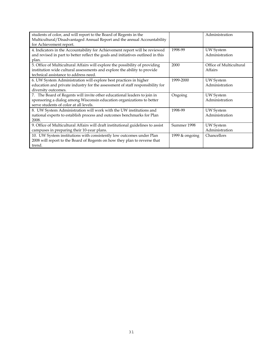| students of color, and will report to the Board of Regents in the<br>Multicultural/Disadvantaged Annual Report and the annual Accountability<br>for Achievement report.                           |                  | Administration                     |
|---------------------------------------------------------------------------------------------------------------------------------------------------------------------------------------------------|------------------|------------------------------------|
| 4. Indicators in the Accountability for Achievement report will be reviewed<br>and revised in part to better reflect the goals and initiatives outlined in this<br>plan.                          | 1998-99          | <b>UW</b> System<br>Administration |
| 5. Office of Multicultural Affairs will explore the possibility of providing<br>institution wide cultural assessments and explore the ability to provide<br>technical assistance to address need. | 2000             | Office of Multicultural<br>Affairs |
| 6. UW System Administration will explore best practices in higher<br>education and private industry for the assessment of staff responsibility for<br>diversity outcomes.                         | 1999-2000        | <b>UW</b> System<br>Administration |
| 7. The Board of Regents will invite other educational leaders to join in<br>sponsoring a dialog among Wisconsin education organizations to better<br>serve students of color at all levels.       | Ongoing          | UW System<br>Administration        |
| 8. UW System Administration will work with the UW institutions and<br>national experts to establish process and outcomes benchmarks for Plan<br>2008.                                             | 1998-99          | <b>UW</b> System<br>Administration |
| 9. Office of Multicultural Affairs will draft institutional guidelines to assist<br>campuses in preparing their 10-year plans.                                                                    | Summer 1998      | UW System<br>Administration        |
| 10. UW System institutions with consistently low outcomes under Plan<br>2008 will report to the Board of Regents on how they plan to reverse that<br>trend.                                       | 1999 $&$ ongoing | Chancellors                        |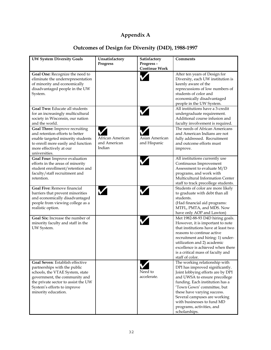# **Appendix A**

| <b>UW System Diversity Goals</b>                                                                                                                                                                                                 | Unsatisfactory                             | Satisfactory                      | <b>Comments</b>                                                                                                                                                                                                                                                                                                                                    |
|----------------------------------------------------------------------------------------------------------------------------------------------------------------------------------------------------------------------------------|--------------------------------------------|-----------------------------------|----------------------------------------------------------------------------------------------------------------------------------------------------------------------------------------------------------------------------------------------------------------------------------------------------------------------------------------------------|
|                                                                                                                                                                                                                                  | <b>Progress</b>                            | Progress-<br><b>Continue Work</b> |                                                                                                                                                                                                                                                                                                                                                    |
| Goal One: Recognize the need to<br>eliminate the underrepresentation<br>of minority and economically<br>disadvantaged people in the UW<br>System.                                                                                |                                            |                                   | After ten years of Design for<br>Diversity, each UW institution is<br>keenly aware of the<br>reprecussions of low numbers of<br>students of color and<br>economically disadvantaged<br>people in the UW System.                                                                                                                                    |
| Goal Two: Educate all students<br>for an increasingly multicultural<br>society in Wisconsin, our nation<br>and the world.                                                                                                        |                                            |                                   | All institutions have a 3-credit<br>undergraduate requirement.<br>Additional course infusion and<br>faculty involvement is required.                                                                                                                                                                                                               |
| Goal Three: Improve recruiting<br>and retention efforts to better<br>enable targeted minority students<br>to enroll more easily and function<br>more effectively at our<br>universities.                                         | African American<br>and American<br>Indian | Asian American<br>and Hispanic    | The needs of African Americans<br>and American Indians are not<br>fully addressed. Recruitment<br>and outcome efforts must<br>improve.                                                                                                                                                                                                             |
| Goal Four: Improve evaluation<br>efforts in the areas of minority<br>student enrollment/retention and<br>faculty/staff recruitment and<br>retention.                                                                             |                                            |                                   | All institutions currently use<br>Continuous Improvement<br>Assessment to evaluate M/D<br>programs, and work with<br>Multicultural Information Center<br>staff to track precollege students.                                                                                                                                                       |
| <b>Goal Five: Remove financial</b><br>barriers that prevent minorities<br>and economically disadvantaged<br>people from viewing college as a<br>realistic option.                                                                |                                            |                                   | Students of color are more likely<br>to graduate with debt than all<br>students.<br>(Had financial aid programs:<br>MTFL, PMTA, and MDS. Now<br>have only AOP and Lawton)                                                                                                                                                                          |
| Goal Six: Increase the number of<br>minority faculty and staff in the<br>UW System.                                                                                                                                              |                                            |                                   | Met 1982-88-93 D4D hiring goals.<br>However, it is important to note<br>that institutions have at least two<br>reasons to continue active<br>recruitment and hiring: 1) under-<br>utilization and 2) academic<br>excellence is achieved when there<br>is a critical mass of faculty and<br>staff of color.                                         |
| Goal Seven: Establish effective<br>partnerships with the public<br>schools, the VTAE System, state<br>government, the community and<br>the private sector to assist the UW<br>System's efforts to improve<br>minority education. |                                            | Need to<br>accelerate.            | The working relationship with<br>DPI has improved significantly.<br>Joint lobbying efforts are by DPI<br>and UWSA to ensure precollege<br>funding. Each institution has a<br>'Town Gown' committee, but<br>these have varying success.<br>Several campuses are working<br>with businesses to fund MD<br>programs, activities, and<br>scholarships. |

# **Outcomes of Design for Diversity (D4D), 1988-1997**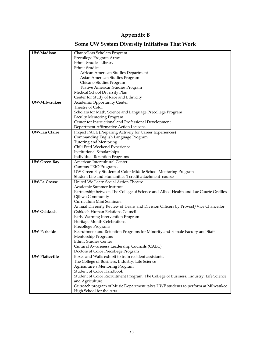# **Appendix B**

# **Some UW System Diversity Initiatives That Work**

| UW-Madison           | Chancellors Scholars Program                                                          |
|----------------------|---------------------------------------------------------------------------------------|
|                      | Precollege Program Array                                                              |
|                      | Ethnic Studies Library                                                                |
|                      | Ethnic Studies:                                                                       |
|                      |                                                                                       |
|                      | African American Studies Department                                                   |
|                      | Asian American Studies Program                                                        |
|                      | Chicano Studies Program                                                               |
|                      | Native American Studies Program                                                       |
|                      | Medical School Diversity Plan                                                         |
|                      | Center for Study of Race and Ethnicity                                                |
| UW-Milwaukee         | Academic Opportunity Center                                                           |
|                      | Theatre of Color                                                                      |
|                      | Scholars for Math, Science and Language Precollege Program                            |
|                      | <b>Faculty Mentoring Program</b>                                                      |
|                      | Center for Instructional and Professional Development                                 |
|                      | Department Affirmative Action Liaisons                                                |
| <b>UW-Eau Claire</b> | Project PACE (Preparing Actively for Career Experiences)                              |
|                      | Commanding English Language Program                                                   |
|                      | <b>Tutoring and Mentoring</b>                                                         |
|                      | Chili Feed Weekend Experience                                                         |
|                      | Institutional Scholarships                                                            |
|                      | <b>Individual Retention Programs</b>                                                  |
| <b>UW-Green Bay</b>  | American Intercultural Center                                                         |
|                      | Campus TRIO Programs                                                                  |
|                      | UW-Green Bay Student of Color Middle School Mentoring Program                         |
|                      | Student Life and Humanities 1 credit attachment course                                |
| <b>UW-La Crosse</b>  | United We Learn Social Action Theatre                                                 |
|                      | Academic Summer Institute                                                             |
|                      | Partnership between The College of Science and Allied Health and Lac Courte Oreilles  |
|                      | Ojibwa Community                                                                      |
|                      | Curriculum Mini Seminars                                                              |
|                      | Annual Diversity Review of Deans and Division Officers by Provost/Vice Chancellor     |
| UW-Oshkosh           | Oshkosh Human Relations Council                                                       |
|                      | Early Warning Intervention Program                                                    |
|                      | Heritage Month Celebrations                                                           |
|                      | Precollege Programs                                                                   |
| UW-Parkside          | Recruitment and Retention Programs for Minority and Female Faculty and Staff          |
|                      | Mentorship Programs                                                                   |
|                      | Ethnic Studies Center                                                                 |
|                      | Cultural Awareness Leadership Councils (CALC)                                         |
|                      | Doctors of Color Precollege Program                                                   |
| UW-Platteville       | Boxes and Walls exhibit to train resident assistants.                                 |
|                      | The College of Business, Industry, Life Science                                       |
|                      | Agriculture's Mentoring Program                                                       |
|                      | <b>Student of Color Handbook</b>                                                      |
|                      | Student of Color Recruitment Program: The College of Business, Industry, Life Science |
|                      | and Agriculture                                                                       |
|                      | Outreach program of Music Department takes UWP students to perform at Milwaukee       |
|                      | High School for the Arts                                                              |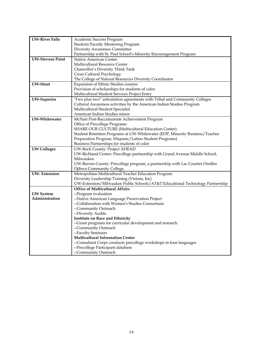| <b>UW-River Falls</b>   | Academic Success Program                                                      |
|-------------------------|-------------------------------------------------------------------------------|
|                         | Student/Faculty Mentoring Program                                             |
|                         | Diversity Awareness Committee                                                 |
|                         | Partnership with St. Paul School's Minority Encouragement Program             |
| <b>UW-Stevens Point</b> | Native American Center                                                        |
|                         | Multicultural Resource Center                                                 |
|                         | Chancellor's Diversity Think Tank                                             |
|                         | Cross Cultural Psychology                                                     |
|                         | The College of Natural Resources Diversity Coordinator                        |
| <b>UW-Stout</b>         | Expansion of Ethnic Studies courses                                           |
|                         | Provision of scholarships for students of color                               |
|                         | Multicultural Student Services Project Entry                                  |
| <b>UW-Superior</b>      | 'Two plus two" articulation agreements with Tribal and Community Colleges     |
|                         | Cultural Awareness activities by the American Indian Studies Program          |
|                         | Multicultural Student Specialist                                              |
|                         | American Indian Studies minor                                                 |
| UW-Whitewater           | McNair Post-Baccalaureate Achievement Program                                 |
|                         | Office of Precollege Programs                                                 |
|                         | SHARE OUR CULTURE (Multicultural Education Center)                            |
|                         | Student Retention Programs at UW-Whitewater (EOP, Minority Business/Teacher   |
|                         | Preparation Program, Hispanic/Latino Student Programs)                        |
|                         | Business Partnerships for students of color                                   |
| <b>UW Colleges</b>      | UW-Rock County: Project AHEAD                                                 |
|                         | UW-Richland Center: Precollege partnership with Grand Avenue Middle School,   |
|                         | Milwaukee.                                                                    |
|                         | UW-Barron County: Precollege program, a partnership with Lac Courtes Oreilles |
|                         | Ojibwa Community College.                                                     |
| <b>UW-Extension</b>     | Metropolitan Multicultural Teacher Education Program                          |
|                         | Diversity Leadership Training (Visions, Inc)                                  |
|                         | UW-Extension/Milwaukee Public Schools/AT&T Educational Technology Partnership |
|                         | <b>Office of Multicultural Affairs</b>                                        |
| <b>UW</b> System        | --Program evaluation                                                          |
| Administration          | --Native American Language Preservation Project                               |
|                         | --Collaboration with Women's Studies Consortium                               |
|                         | --Community Outreach                                                          |
|                         | --Diversity Audits                                                            |
|                         | <b>Institute on Race and Ethnicity</b>                                        |
|                         | --Grant programs for curricular development and research.                     |
|                         | --Community Outreach                                                          |
|                         | --Faculty Seminars                                                            |
|                         | <b>Multicultural Information Center</b>                                       |
|                         | --Consultant Corps conducts precollege workshops in four languages            |
|                         | --Precollege Participant database                                             |
|                         | --Community Outreach                                                          |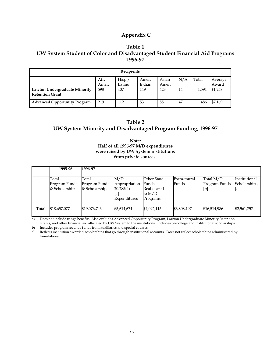## **Appendix C**

## **Table 1 UW System Student of Color and Disadvantaged Student Financial Aid Programs 1996-97**

| Recipients                                                                                                 |     |     |     |     |    |       |         |
|------------------------------------------------------------------------------------------------------------|-----|-----|-----|-----|----|-------|---------|
| N/A<br>Hisp./<br>Total<br>Afr.<br>Asian<br>Average<br>Amer.<br>Indian<br>Latino<br>Award<br>Amer.<br>Amer. |     |     |     |     |    |       |         |
| Lawton Undergraduate Minority<br><b>Retention Grant</b>                                                    | 598 | 407 | 149 | 423 | 14 | 1.591 | \$1,258 |
| <b>Advanced Opportunity Program</b>                                                                        | 219 | 112 | 53  | 55  | 47 | 486   | \$7,169 |

## **Table 2 UW System Minority and Disadvantaged Program Funding, 1996-97**

**Note: Half of all 1996-97 M/D expenditures were raised by UW System institutions from private sources.** 

|       | 1995-96                                  | 1996-97                                  |                                                          |                                                             |                      |                                   |                                     |
|-------|------------------------------------------|------------------------------------------|----------------------------------------------------------|-------------------------------------------------------------|----------------------|-----------------------------------|-------------------------------------|
|       | Total<br>Program Funds<br>& Scholarships | Total<br>Program Funds<br>& Scholarships | M/D<br>Appropriation<br>20.285(4)<br>[a]<br>Expenditures | Other State<br>Funds<br>Reallocated<br>to $M/D$<br>Programs | Extra-mural<br>Funds | Total M/D<br>Program Funds<br>[b] | Institutional<br>Scholarships<br> c |
| Total | \$18,657,077                             | \$19,076,743                             | \$5,614,674                                              | \$4,092,115                                                 | \$6,808,197          | \$16,514,986                      | \$2,561,757                         |

a) Does not include fringe benefits. Also excludes Advanced Opportunity Program, Lawton Undergraduate Minority Retention Grants, and other financial aid allocated by UW System to the institutions. Includes precollege and institutional scholarships.

b) Includes program revenue funds from auxiliaries and special courses.

c) Reflects institution awarded scholarships that go through institutional accounts. Does not reflect scholarships administered by foundations.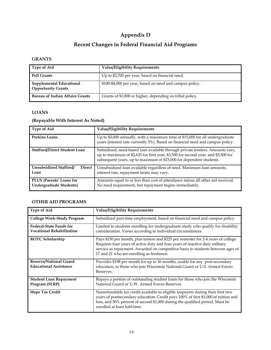# **Appendix D**

# **Recent Changes in Federal Financial Aid Programs**

## **GRANTS**

| <b>Type of Aid</b>                                    | <b>Value/Eligibility Requirements</b>                    |
|-------------------------------------------------------|----------------------------------------------------------|
| <b>Pell Grants</b>                                    | Up to \$2,700 per year, based on financial need.         |
| Supplemental Educational<br><b>Opportunity Grants</b> | \$100-\$4,000 per year, based on need and campus policy. |
| <b>Bureau of Indian Affairs Grants</b>                | Grants of \$1,800 or higher, depending on tribal policy. |

## **LOANS**

## **(Repayable With Interest As Noted)**

| <b>Type of Aid</b>                                         | <b>Value/Eligibility Requirements</b>                                                                                                                                                                                                    |
|------------------------------------------------------------|------------------------------------------------------------------------------------------------------------------------------------------------------------------------------------------------------------------------------------------|
| <b>Perkins Loans</b>                                       | Up to \$3,000 annually, with a maximum total of \$15,000 for all undergraduate<br>years (interest rate currently 5%). Based on financial need and campus policy.                                                                         |
| <b>Stafford/Direct Student Loan</b>                        | Subsidized, need-based loan available through private lenders. Amounts vary,<br>up to maximum of \$2,625 for first year, \$3,500 for second year, and \$5,500 for<br>subsequent years, up to maximum of \$23,000 for dependent students. |
| Unsubsidized Stafford/<br><b>Direct</b><br>Loan            | Unsubsidized loan available regardless of need. Maximum loan amounts,<br>interest rate, repayment terms may vary.                                                                                                                        |
| PLUS (Parents' Loans for<br><b>Undergraduate Students)</b> | Amounts equal to or less than cost of attendance minus all other aid received.<br>No need requirement, but repayment begins immediately.                                                                                                 |

## **OTHER AID PROGRAMS**

| <b>Type of Aid</b>                                                 | <b>Value/Eligibility Requirements</b>                                                                                                                                                                                                                                                            |  |  |  |
|--------------------------------------------------------------------|--------------------------------------------------------------------------------------------------------------------------------------------------------------------------------------------------------------------------------------------------------------------------------------------------|--|--|--|
| <b>College Work-Study Program</b>                                  | Subsidized part-time employment, based on financial need and campus policy.                                                                                                                                                                                                                      |  |  |  |
| <b>Federal-State Funds for</b><br><b>Vocational Rehabilitation</b> | Limited to students enrolling for undergraduate study who qualify for disability<br>consideration. Varies according to individual circumstances.                                                                                                                                                 |  |  |  |
| <b>ROTC Scholarship</b>                                            | Pays \$150 per month, plus tuition and \$225 per semester for 2-4 years of college.<br>Requires four years of active duty and four years of inactive duty military<br>service as repayment. Awarded on competitive basis to students between ages of<br>17 and 21 who are enrolling as freshmen. |  |  |  |
| Reserve/National Guard<br><b>Educational Assistance</b>            | Provides \$198 per month for up to 36 months, usable for any post-secondary<br>education, to those who join Wisconsin National Guard or U.S. Armed Forces<br>Reserves.                                                                                                                           |  |  |  |
| <b>Student Loan Repayment</b><br>Program (SLRP)                    | Repays a portion of outstanding student loans for those who join the Wisconsin<br>National Guard or U.W. Armed Forces Reserves.                                                                                                                                                                  |  |  |  |
| Hope Tax Credit                                                    | Nonrefundable tax credit available to eligible taxpayers during their first two<br>years of postsecondary education. Credit pays 100% of first \$1,000 of tuition and<br>fees, and 50% percent of second \$1,000 during the qualified period. Must be<br>enrolled at least half-time.            |  |  |  |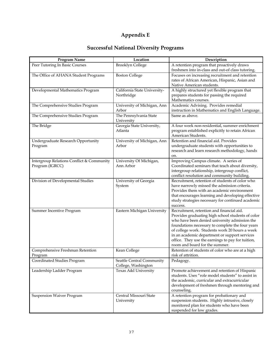# **Appendix E**

# **Successful National Diversity Programs**

| Program Name                              | Location                             | Description                                                                                        |
|-------------------------------------------|--------------------------------------|----------------------------------------------------------------------------------------------------|
| Peer Tutoring In Basic Courses            | <b>Brooklyn College</b>              | A retention program that proactively draws                                                         |
|                                           |                                      | freshmen into in-class and out-of class tutoring.                                                  |
| The Office of AHANA Student Programs      | <b>Boston College</b>                | Focuses on increasing recruitment and retention                                                    |
|                                           |                                      | rates of African American, Hispanic, Asian and                                                     |
|                                           |                                      | Native American students.                                                                          |
| Developmental Mathematics Program         | California State University-         | A highly structured yet flexible program that                                                      |
|                                           | Northridge                           | prepares students for passing the required                                                         |
|                                           |                                      | Mathematics courses.                                                                               |
| The Comprehensive Studies Program         | University of Michigan, Ann          | Academic Advising. Provides remedial                                                               |
|                                           | Arbor                                | instruction in Mathematics and English Language.                                                   |
| The Comprehensive Studies Program         | The Pennsylvania State<br>University | Same as above.                                                                                     |
| The Bridge                                | Georgia State University,            | A four week non-residential, summer enrichment                                                     |
|                                           | Atlanta                              | program established explicitly to retain African                                                   |
|                                           |                                      | American Students.                                                                                 |
| Undergraduate Research Opportunity        | University of Michigan, Ann          | Retention and financial aid. Provides                                                              |
| Program                                   | Arbor                                | undergraduate students with opportunities to                                                       |
|                                           |                                      | research and learn research methodology, hands                                                     |
|                                           |                                      | on.                                                                                                |
| Intergroup Relations Conflict & Community | University Of Michigan,              | Improving Campus climate. A series of                                                              |
| Program (IGRCC)                           | Ann Arbor                            | Coordinated seminars that teach about diversity,                                                   |
|                                           |                                      | intergroup relationship, intergroup conflict,                                                      |
|                                           |                                      | conflict resolution and community building.                                                        |
| Division of Developmental Studies         | University of Georgia                | Recruitment, retention of students of color who                                                    |
|                                           | System                               | have narrowly missed the admission criteria.                                                       |
|                                           |                                      | Provides them with an academic environment                                                         |
|                                           |                                      | that encourages learning and developing effective                                                  |
|                                           |                                      | study strategies necessary for continued academic                                                  |
|                                           |                                      | success.<br>Recruitment, retention and financial aid.                                              |
| Summer Incentive Program                  | Eastern Michigan University          |                                                                                                    |
|                                           |                                      | Provides graduating high school students of color<br>who have been denied university admission the |
|                                           |                                      | foundations necessary to complete the four years                                                   |
|                                           |                                      | of college work. Students work 20 hours a week                                                     |
|                                           |                                      | in an academic department or support services                                                      |
|                                           |                                      | office. They use the earnings to pay for tuition,                                                  |
|                                           |                                      | room and board for the summer.                                                                     |
| Comprehensive Freshman Retention          | Kean College                         | Retention of students of color who are at a high                                                   |
| Program                                   |                                      | risk of attrition.                                                                                 |
| Coordinated Studies Program               | Seattle Central Community            | Pedagogy.                                                                                          |
|                                           | College, Washington                  |                                                                                                    |
| Leadership Ladder Program                 | Texas A&I University                 | Promote achievement and retention of Hispanic                                                      |
|                                           |                                      | students. Uses "role model students" to assist in                                                  |
|                                           |                                      | the academic, curricular and extracurricular                                                       |
|                                           |                                      | development of freshmen through mentoring and                                                      |
|                                           |                                      | counseling.                                                                                        |
| <b>Suspension Waiver Program</b>          | Central Missouri State               | A retention program for probationary and                                                           |
|                                           | University                           | suspension students. Highly intrusive, closely                                                     |
|                                           |                                      | monitored plan for students who have been                                                          |
|                                           |                                      | suspended for low grades.                                                                          |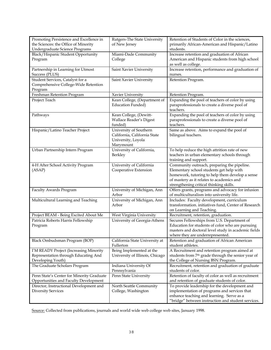| Promoting Persistence and Excellence in   | Rutgers-The State University    | Retention of Students of Color in the sciences,                |
|-------------------------------------------|---------------------------------|----------------------------------------------------------------|
| the Sciences: the Office of Minority      | of New Jersey                   | primarily African-American and Hispanic/Latino                 |
| Undergraduate Science Programs            |                                 | students.                                                      |
| Black/Hispanic Student Opportunity        | Miami-Dade Community            | Increase retention and graduation of African                   |
| Program                                   | College                         | American and Hispanic students from high school                |
|                                           |                                 | as well as college.                                            |
| Partnership in Learning for Utmost        | Saint Xavier University         | Increase retention, performance and graduation of              |
| Success (PLUS)                            |                                 | nurses.                                                        |
| Student Services, Catalyst for a          | Saint Xavier University         | Retention Program.                                             |
| Comprehensive College-Wide Retention      |                                 |                                                                |
| Program                                   |                                 |                                                                |
| Freshman Retention Program                | Xavier University               | Retention Program.                                             |
| Project Teach                             | Kean College, (Department of    | Expanding the pool of teachers of color by using               |
|                                           | <b>Education Funded)</b>        | paraprofessionals to create a diverse pool of                  |
|                                           |                                 | teachers.                                                      |
| Pathways                                  | Kean College, (Dewitt-          | Expanding the pool of teachers of color by using               |
|                                           | Wallace Reader's Digest         | paraprofessionals to create a diverse pool of                  |
|                                           | funded)                         | teachers.                                                      |
| Hispanic/Latino Teacher Project           | University of Southern          | Same as above. Aims to expand the pool of                      |
|                                           | California, California State    | bilingual teachers.                                            |
|                                           | University, Loyola              |                                                                |
|                                           | Marymount                       |                                                                |
| Urban Partnership Intern Program          | University of California,       | To help reduce the high attrition rate of new                  |
|                                           | Berkley                         | teachers in urban elementary schools through                   |
|                                           |                                 | training and support.                                          |
| 4-H After School Activity Program         | University of California        | Community outreach, preparing the pipeline.                    |
| (ASAP)                                    | Cooperative Extension           | Elementary school students get help with                       |
|                                           |                                 | homework, tutoring to help them develop a sense                |
|                                           |                                 | of mastery as it relates to academics and                      |
|                                           |                                 | strengthening critical thinking skills.                        |
| Faculty Awards Program                    | University of Michigan, Ann     | Offers grants, programs and advocacy for infusion              |
|                                           | Arbor                           | of multiculturalism into university life.                      |
| Multicultural Learning and Teaching       | University of Michigan, Ann     | Includes: Faculty development, curriculum                      |
|                                           | Arbor                           | transformation. initiatives fund, Center of Research           |
|                                           |                                 | on Learning and Teaching.                                      |
| Project BEAM - Being Excited About Me     | West Virginia University        | Recruitment, retention, graduation.                            |
| Patricia Roberts Harris Fellowship        | University of Georgia-Athens    | Secures Fellowships from U.S. Department of                    |
| Program                                   |                                 | Education for students of color who are pursuing               |
|                                           |                                 | masters and doctoral level study in academic fields            |
|                                           |                                 | where they are underrepresented.                               |
| Black Ombudsman Program (BOP)             | California State University at  | Retention and graduation of African American                   |
|                                           | Fullerton                       | student athletes.                                              |
| I'M READY Project (Increasing Minority    | Being Implemented at the        | A Recruitment and retention program aimed at                   |
| Representation through Educating And      | University of Illinois, Chicago | students from 7 <sup>th</sup> grade through the senior year of |
| Developing Youth)                         |                                 | the College of Nursing BSN Program.                            |
| The Graduate Scholars Program             | Indiana University Of           | Recruitment, retention and graduation of graduate              |
|                                           | Pennsylvania                    | students of color.                                             |
| Penn State's Center for Minority Graduate | Penn State University           | Retention of faculty of color as well as recruitment           |
| Opportunities and Faculty Development     |                                 | and retention of graduate students of color.                   |
| Director, Instructional Development and   | North Seattle Community         | To provide leadership for the development and                  |
| <b>Diversity Services</b>                 | College, Washington             | implementation of programs and services that                   |
|                                           |                                 | enhance teaching and learning. Serve as a                      |
|                                           |                                 | "bridge" between instruction and student services.             |

Source: Collected from publications, journals and world wide web college web sites, January 1998.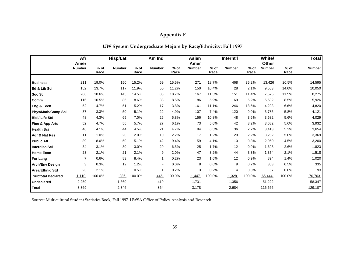# **Appendix F**

| UW System Undergraduate Majors by Race/Ethnicity: Fall 1997 |  |  |  |
|-------------------------------------------------------------|--|--|--|
|-------------------------------------------------------------|--|--|--|

|                           | Afr<br>Amer    |              | <b>Hisp/Lat</b> |                | Am Ind        |                | Asian<br>Amer |                | Internt'l     |                | White/<br>Other |                | <b>Total</b>  |
|---------------------------|----------------|--------------|-----------------|----------------|---------------|----------------|---------------|----------------|---------------|----------------|-----------------|----------------|---------------|
|                           | <b>Number</b>  | % of<br>Race | <b>Number</b>   | $%$ of<br>Race | <b>Number</b> | $%$ of<br>Race | <b>Number</b> | $%$ of<br>Race | <b>Number</b> | $%$ of<br>Race | <b>Number</b>   | $%$ of<br>Race | <b>Number</b> |
| <b>Business</b>           | 211            | 19.0%        | 150             | 15.2%          | 69            | 15.5%          | 271           | 18.7%          | 468           | 35.2%          | 13,426          | 20.5%          | 14,595        |
| Ed & Lib Sci              | 152            | 13.7%        | 117             | 11.9%          | 50            | 11.2%          | 150           | 10.4%          | 28            | 2.1%           | 9,553           | 14.6%          | 10,050        |
| Soc Sci                   | 206            | 18.6%        | 143             | 14.5%          | 83            | 18.7%          | 167           | 11.5%          | 151           | 11.4%          | 7,525           | 11.5%          | 8,275         |
| Comm                      | 116            | 10.5%        | 85              | 8.6%           | 38            | 8.5%           | 86            | 5.9%           | 69            | 5.2%           | 5,532           | 8.5%           | 5,926         |
| Eng & Tech                | 52             | 4.7%         | 51              | 5.2%           | 17            | 3.8%           | 161           | 11.1%          | 246           | 18.5%          | 4,293           | 6.6%           | 4,820         |
| <b>Phys/Math/Comp Sci</b> | 37             | 3.3%         | 50              | 5.1%           | 22            | 4.9%           | 107           | 7.4%           | 120           | 9.0%           | 3,785           | 5.8%           | 4,121         |
| <b>Biol/Life Std</b>      | 48             | 4.3%         | 69              | 7.0%           | 26            | 5.8%           | 156           | 10.8%          | 48            | 3.6%           | 3,682           | 5.6%           | 4,029         |
| Fine & App Arts           | 52             | 4.7%         | 56              | 5.7%           | 27            | 6.1%           | 73            | 5.0%           | 42            | 3.2%           | 3,682           | 5.6%           | 3,932         |
| <b>Health Sci</b>         | 46             | 4.1%         | 44              | 4.5%           | 21            | 4.7%           | 94            | 6.5%           | 36            | 2.7%           | 3,413           | 5.2%           | 3,654         |
| Agr & Nat Res             | 11             | 1.0%         | 20              | 2.0%           | 10            | 2.2%           | 17            | 1.2%           | 29            | 2.2%           | 3,282           | 5.0%           | 3,369         |
| <b>Public Aff</b>         | 89             | 8.0%         | 50              | 5.1%           | 42            | 9.4%           | 59            | 4.1%           | 10            | 0.8%           | 2,950           | 4.5%           | 3,200         |
| <b>Interdisc Sci</b>      | 34             | 3.1%         | 30              | 3.0%           | 29            | 6.5%           | 25            | 1.7%           | 12            | 0.9%           | 1,693           | 2.6%           | 1,823         |
| <b>Home Econ</b>          | 23             | 2.1%         | 21              | 2.1%           | 9             | 2.0%           | 47            | 3.2%           | 44            | 3.3%           | 1,374           | 2.1%           | 1,518         |
| For Lang                  | $\overline{7}$ | 0.6%         | 83              | 8.4%           | 1             | 0.2%           | 23            | 1.6%           | 12            | 0.9%           | 894             | 1.4%           | 1,020         |
| <b>Arch/Env Design</b>    | 3              | 0.3%         | 12              | 1.2%           |               | 0.0%           | 8             | 0.6%           | 9             | 0.7%           | 303             | 0.5%           | 335           |
| <b>Area/Ethnic Std</b>    | 23             | 2.1%         | 5               | 0.5%           |               | 0.2%           | 3             | 0.2%           | 4             | 0.3%           | 57              | 0.0%           | 93            |
| <b>Subtotal Declared</b>  | 1,110          | 100.0%       | 986             | 100.0%         | 445           | 100.0%         | 1,447         | 100.0%         | 1,328         | 100.0%         | 65,444          | 100.0%         | 70,763        |
| <b>Undeclared</b>         | 2,259          |              | 1,360           |                | 419           |                | 1,731         |                | 1,356         |                | 51,222          |                | 58,347        |
| <b>Total</b>              | 3,369          |              | 2,346           |                | 864           |                | 3,178         |                | 2,684         |                | 116,666         |                | 129,107       |

Source: Multicultural Student Statistics Book, Fall 1997. UWSA Office of Policy Analysis and Research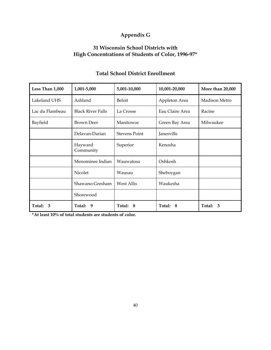# **Appendix G**

## **31 Wisconsin School Districts with High Concentrations of Students of Color, 1996-97\***

| Less Than 1,000 | 1,001-5,000              | 5,001-10,000                       | 10,001-20,000   | More than 20,000 |  |
|-----------------|--------------------------|------------------------------------|-----------------|------------------|--|
| Lakeland UHS    | Ashland                  | <b>Beloit</b>                      | Appleton Area   | Madison Metro    |  |
| Lac du Flambeau | <b>Black River Falls</b> | La Crosse                          | Eau Claire Area | Racine           |  |
| Bayfield        | <b>Brown Deer</b>        | Manitowoc                          | Green Bay Area  | Milwaukee        |  |
|                 | Delavan-Darian           | <b>Stevens Point</b><br>Janesville |                 |                  |  |
|                 | Hayward<br>Community     | Superior                           | Kenosha         |                  |  |
|                 | Menominee Indian         | Oshkosh<br>Wauwatosa               |                 |                  |  |
|                 | Nicolet                  | Wausau                             | Sheboygan       |                  |  |
|                 | Shawano-Gresham          | Waukesha<br><b>West Allis</b>      |                 |                  |  |
|                 | Shorewood                |                                    |                 |                  |  |
| Total:<br>3     | Total: 9                 | Total: 8                           | Total:<br>- 8   | Total: 3         |  |

## **Total School District Enrollment**

**\*At least 10% of total students are students of color.**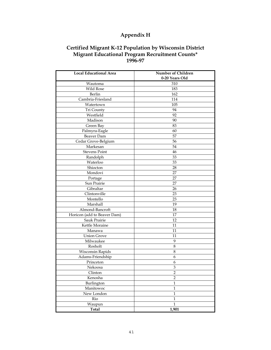# **Appendix H**

## **Certified Migrant K-12 Population by Wisconsin District Migrant Educational Program Recruitment Counts\* 1996-97**

| <b>Local Educational Area</b> | Number of Children<br>0-20 Years Old |  |  |  |  |
|-------------------------------|--------------------------------------|--|--|--|--|
| Wautoma                       | 310                                  |  |  |  |  |
| Wild Rose                     | 183                                  |  |  |  |  |
| Berlin                        | 162                                  |  |  |  |  |
| Cambria-Friesland             | 114                                  |  |  |  |  |
| Watertown                     | 105                                  |  |  |  |  |
| Tri County                    | 94                                   |  |  |  |  |
| Westfield                     | 92                                   |  |  |  |  |
| Madison                       | 90                                   |  |  |  |  |
| Green Bay                     | 83                                   |  |  |  |  |
|                               | 60                                   |  |  |  |  |
| Palmyra-Eagle<br>Beaver Dam   | 57                                   |  |  |  |  |
| Cedar Grove-Belgium           | 56                                   |  |  |  |  |
| Markesan                      | 54                                   |  |  |  |  |
| <b>Stevens Point</b>          | 46                                   |  |  |  |  |
|                               | 33                                   |  |  |  |  |
| Randolph<br>Waterloo          | 33                                   |  |  |  |  |
| Shiocton                      |                                      |  |  |  |  |
|                               | 28                                   |  |  |  |  |
| Mondovi                       | 27<br>27                             |  |  |  |  |
| Portage                       |                                      |  |  |  |  |
| Sun Prairie                   | 27                                   |  |  |  |  |
| Gibraltar                     | 26                                   |  |  |  |  |
| Clintonville                  | 23                                   |  |  |  |  |
| Montello<br>Marshall          | 23                                   |  |  |  |  |
|                               | 19                                   |  |  |  |  |
| Almond-Bancroft               | 18                                   |  |  |  |  |
| Horicon (add to Beaver Dam)   | 17                                   |  |  |  |  |
| Sauk Prairie                  | 12                                   |  |  |  |  |
| Kettle Moraine                | 11                                   |  |  |  |  |
| Manawa                        | 11                                   |  |  |  |  |
| <b>Union Grove</b>            | 11                                   |  |  |  |  |
| Milwaukee                     | 9                                    |  |  |  |  |
| Rosholt                       | 8                                    |  |  |  |  |
| <b>Wisconsin Rapids</b>       | 8                                    |  |  |  |  |
| Adams-Friendship              | 6                                    |  |  |  |  |
| Princeton                     | 6                                    |  |  |  |  |
| Nekoosa                       | 3                                    |  |  |  |  |
| Clinton                       | $\overline{c}$                       |  |  |  |  |
| Kenosha                       | $\overline{2}$                       |  |  |  |  |
| Burlington                    | $\mathbf{1}$                         |  |  |  |  |
| Manitowoc                     | $\mathbf{1}$                         |  |  |  |  |
| New London                    | $\mathbf{1}$                         |  |  |  |  |
| Rio                           | $\mathbf 1$                          |  |  |  |  |
| Waupun                        | $\mathbf 1$                          |  |  |  |  |
| <b>Total</b>                  | 1,901                                |  |  |  |  |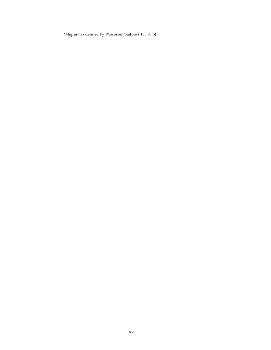\*Migrant as defined by Wisconsin Statute s.103.90(5)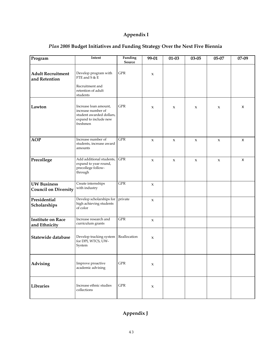## **Appendix I**

| Program                                           | Intent                                                                                                       | Funding<br>Source | 99-01               | $01 - 03$           | $03 - 05$           | 05-07               | 07-09        |
|---------------------------------------------------|--------------------------------------------------------------------------------------------------------------|-------------------|---------------------|---------------------|---------------------|---------------------|--------------|
| <b>Adult Recruitment</b><br>and Retention         | Develop program with<br>FTE and S & E<br>Recruitment and<br>retention of adult<br>students                   | <b>GPR</b>        | $\boldsymbol{\chi}$ |                     |                     |                     |              |
| Lawton                                            | Increase loan amount,<br>increase number of<br>student awarded dollars,<br>expand to include new<br>freshmen | ${\rm GPR}$       | $\mathbf{x}$        | X                   | $\boldsymbol{\chi}$ | $\mathbf{x}$        | X            |
| <b>AOP</b>                                        | Increase number of<br>students, increase award<br>amounts                                                    | ${\rm GPR}$       | $\pmb{\chi}$        | $\boldsymbol{\chi}$ | $\boldsymbol{\chi}$ | $\pmb{\chi}$        | X            |
| Precollege                                        | Add additional students,<br>expand to year round,<br>precollege follow-<br>through                           | ${\rm GPR}$       | $\boldsymbol{\chi}$ | $\boldsymbol{\chi}$ | $\boldsymbol{\chi}$ | $\boldsymbol{\chi}$ | $\mathsf{x}$ |
| <b>UW Business</b><br><b>Council on Diversity</b> | Create internships<br>with industry                                                                          | <b>GPR</b>        | $\pmb{\chi}$        |                     |                     |                     |              |
| Presidential<br>Scholarships                      | Develop scholarships for<br>high achieving students<br>of color                                              | private           | $\pmb{\chi}$        |                     |                     |                     |              |
| <b>Institute on Race</b><br>and Ethnicity         | Increase research and<br>curriculum grants                                                                   | ${\rm GPR}$       | $\pmb{\chi}$        |                     |                     |                     |              |
| Statewide database                                | Develop tracking system<br>for DPI, WTCS, UW-<br>System                                                      | Reallocation      | $\boldsymbol{\chi}$ |                     |                     |                     |              |
| Advising                                          | Improve proactive<br>academic advising                                                                       | ${\rm GPR}$       | $\boldsymbol{\chi}$ |                     |                     |                     |              |
| Libraries                                         | Increase ethnic studies<br>collections                                                                       | <b>GPR</b>        | $\boldsymbol{\chi}$ |                     |                     |                     |              |

## *Plan 2008* **Budget Initiatives and Funding Strategy Over the Next Five Biennia**

# **Appendix J**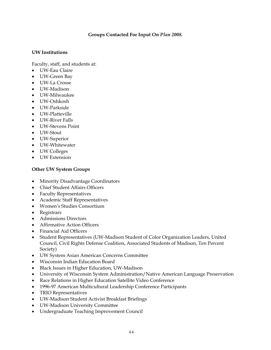## **Groups Contacted For Input On** *Plan 2008.*

## **UW Institutions**

Faculty, staff, and students at:

- UW-Eau Claire
- UW-Green Bay
- UW-La Crosse
- UW-Madison
- UW-Milwaukee
- UW-Oshkosh
- UW-Parkside
- UW-Platteville
- UW-River Falls
- UW-Stevens Point
- UW-Stout
- UW-Superior
- UW-Whitewater
- UW Colleges
- UW Extension

## **Other UW System Groups**

- Minority Disadvantage Coordinators
- Chief Student Affairs Officers
- Faculty Representatives
- Academic Staff Representatives
- Women's Studies Consortium
- Registrars
- Admissions Directors
- Affirmative Action Officers
- Financial Aid Officers
- Student Representatives (UW-Madison Student of Color Organization Leaders, United Council, Civil Rights Defense Coalition, Associated Students of Madison, Ten Percent Society)
- UW System Asian American Concerns Committee
- Wisconsin Indian Education Board
- Black Issues in Higher Education, UW-Madison
- University of Wisconsin System Administration/Native American Language Preservation
- Race Relations in Higher Education Satellite Video Conference
- 1996-97 American Multicultural Leadership Conference Participants
- TRIO Representatives
- UW-Madison Student Activist Breakfast Briefings
- UW-Madison University Committee
- Undergraduate Teaching Improvement Council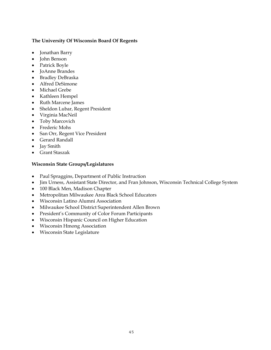## **The University Of Wisconsin Board Of Regents**

- Jonathan Barry
- John Benson
- Patrick Boyle
- JoAnne Brandes
- Bradley DeBraska
- Alfred DeSimone
- Michael Grebe
- Kathleen Hempel
- Ruth Marcene James
- Sheldon Lubar, Regent President
- Virginia MacNeil
- Toby Marcovich
- Frederic Mohs
- San Orr, Regent Vice President
- Gerard Randall
- Jay Smith
- Grant Staszak

## **Wisconsin State Groups/Legislatures**

- Paul Spraggins, Department of Public Instruction
- Jim Urness, Assistant State Director, and Fran Johnson, Wisconsin Technical College System
- 100 Black Men, Madison Chapter
- Metropolitan Milwaukee Area Black School Educators
- Wisconsin Latino Alumni Association
- Milwaukee School District Superintendent Allen Brown
- President's Community of Color Forum Participants
- Wisconsin Hispanic Council on Higher Education
- Wisconsin Hmong Association
- Wisconsin State Legislature